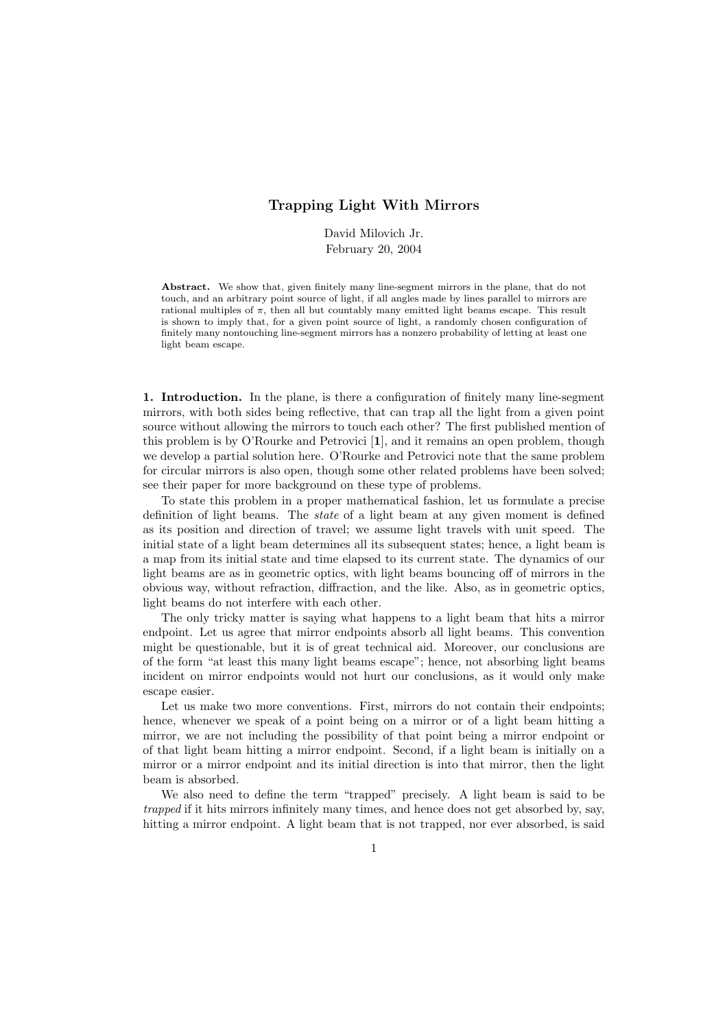## Trapping Light With Mirrors

David Milovich Jr. February 20, 2004

Abstract. We show that, given finitely many line-segment mirrors in the plane, that do not touch, and an arbitrary point source of light, if all angles made by lines parallel to mirrors are rational multiples of  $\pi$ , then all but countably many emitted light beams escape. This result is shown to imply that, for a given point source of light, a randomly chosen configuration of finitely many nontouching line-segment mirrors has a nonzero probability of letting at least one light beam escape.

1. Introduction. In the plane, is there a configuration of finitely many line-segment mirrors, with both sides being reflective, that can trap all the light from a given point source without allowing the mirrors to touch each other? The first published mention of this problem is by O'Rourke and Petrovici [1], and it remains an open problem, though we develop a partial solution here. O'Rourke and Petrovici note that the same problem for circular mirrors is also open, though some other related problems have been solved; see their paper for more background on these type of problems.

To state this problem in a proper mathematical fashion, let us formulate a precise definition of light beams. The state of a light beam at any given moment is defined as its position and direction of travel; we assume light travels with unit speed. The initial state of a light beam determines all its subsequent states; hence, a light beam is a map from its initial state and time elapsed to its current state. The dynamics of our light beams are as in geometric optics, with light beams bouncing off of mirrors in the obvious way, without refraction, diffraction, and the like. Also, as in geometric optics, light beams do not interfere with each other.

The only tricky matter is saying what happens to a light beam that hits a mirror endpoint. Let us agree that mirror endpoints absorb all light beams. This convention might be questionable, but it is of great technical aid. Moreover, our conclusions are of the form "at least this many light beams escape"; hence, not absorbing light beams incident on mirror endpoints would not hurt our conclusions, as it would only make escape easier.

Let us make two more conventions. First, mirrors do not contain their endpoints; hence, whenever we speak of a point being on a mirror or of a light beam hitting a mirror, we are not including the possibility of that point being a mirror endpoint or of that light beam hitting a mirror endpoint. Second, if a light beam is initially on a mirror or a mirror endpoint and its initial direction is into that mirror, then the light beam is absorbed.

We also need to define the term "trapped" precisely. A light beam is said to be trapped if it hits mirrors infinitely many times, and hence does not get absorbed by, say, hitting a mirror endpoint. A light beam that is not trapped, nor ever absorbed, is said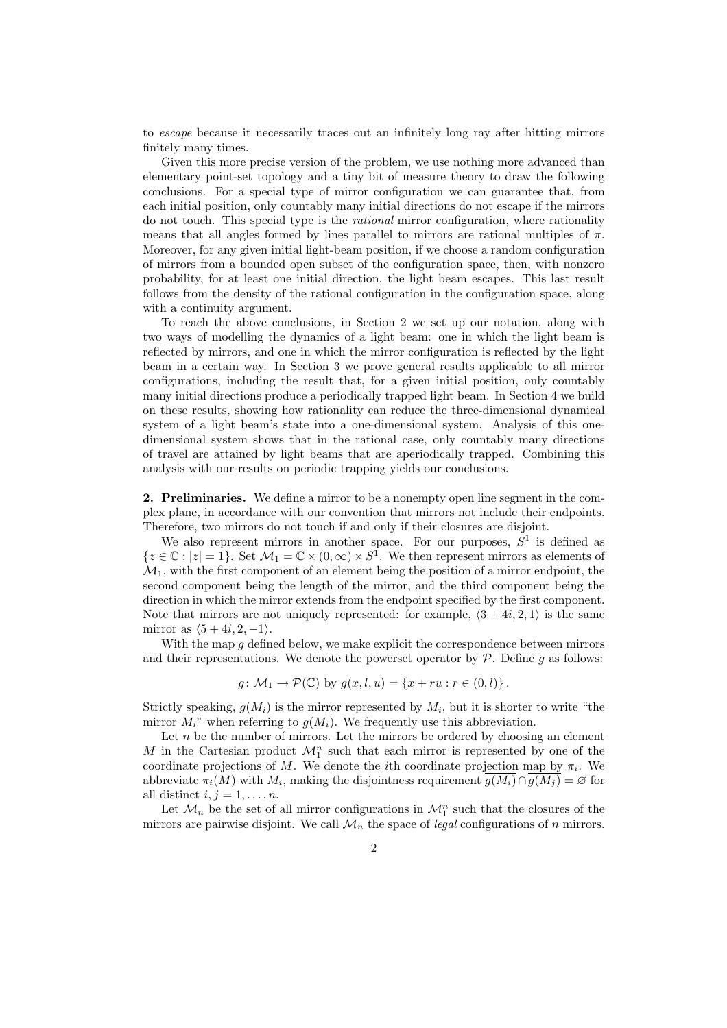to escape because it necessarily traces out an infinitely long ray after hitting mirrors finitely many times.

Given this more precise version of the problem, we use nothing more advanced than elementary point-set topology and a tiny bit of measure theory to draw the following conclusions. For a special type of mirror configuration we can guarantee that, from each initial position, only countably many initial directions do not escape if the mirrors do not touch. This special type is the rational mirror configuration, where rationality means that all angles formed by lines parallel to mirrors are rational multiples of  $\pi$ . Moreover, for any given initial light-beam position, if we choose a random configuration of mirrors from a bounded open subset of the configuration space, then, with nonzero probability, for at least one initial direction, the light beam escapes. This last result follows from the density of the rational configuration in the configuration space, along with a continuity argument.

To reach the above conclusions, in Section 2 we set up our notation, along with two ways of modelling the dynamics of a light beam: one in which the light beam is reflected by mirrors, and one in which the mirror configuration is reflected by the light beam in a certain way. In Section 3 we prove general results applicable to all mirror configurations, including the result that, for a given initial position, only countably many initial directions produce a periodically trapped light beam. In Section 4 we build on these results, showing how rationality can reduce the three-dimensional dynamical system of a light beam's state into a one-dimensional system. Analysis of this onedimensional system shows that in the rational case, only countably many directions of travel are attained by light beams that are aperiodically trapped. Combining this analysis with our results on periodic trapping yields our conclusions.

2. Preliminaries. We define a mirror to be a nonempty open line segment in the complex plane, in accordance with our convention that mirrors not include their endpoints. Therefore, two mirrors do not touch if and only if their closures are disjoint.

We also represent mirrors in another space. For our purposes,  $S<sup>1</sup>$  is defined as  $\{z \in \mathbb{C} : |z| = 1\}$ . Set  $\mathcal{M}_1 = \mathbb{C} \times (0, \infty) \times S^1$ . We then represent mirrors as elements of  $\mathcal{M}_1$ , with the first component of an element being the position of a mirror endpoint, the second component being the length of the mirror, and the third component being the direction in which the mirror extends from the endpoint specified by the first component. Note that mirrors are not uniquely represented: for example,  $\langle 3 + 4i, 2, 1 \rangle$  is the same mirror as  $\langle 5 + 4i, 2, -1 \rangle$ .

With the map  $q$  defined below, we make explicit the correspondence between mirrors and their representations. We denote the powerset operator by  $P$ . Define  $g$  as follows:

$$
g: \mathcal{M}_1 \to \mathcal{P}(\mathbb{C})
$$
 by  $g(x, l, u) = \{x + ru : r \in (0, l)\}.$ 

Strictly speaking,  $g(M_i)$  is the mirror represented by  $M_i$ , but it is shorter to write "the mirror  $M_i$ " when referring to  $g(M_i)$ . We frequently use this abbreviation.

Let  $n$  be the number of mirrors. Let the mirrors be ordered by choosing an element M in the Cartesian product  $\mathcal{M}_1^n$  such that each mirror is represented by one of the coordinate projections of M. We denote the *i*th coordinate projection map by  $\pi_i$ . We abbreviate  $\pi_i(M)$  with  $M_i$ , making the disjointness requirement  $g(M_i) \cap g(M_j) = \emptyset$  for all distinct  $i, j = 1, \ldots, n$ .

Let  $\mathcal{M}_n$  be the set of all mirror configurations in  $\mathcal{M}_1^n$  such that the closures of the mirrors are pairwise disjoint. We call  $\mathcal{M}_n$  the space of *legal* configurations of n mirrors.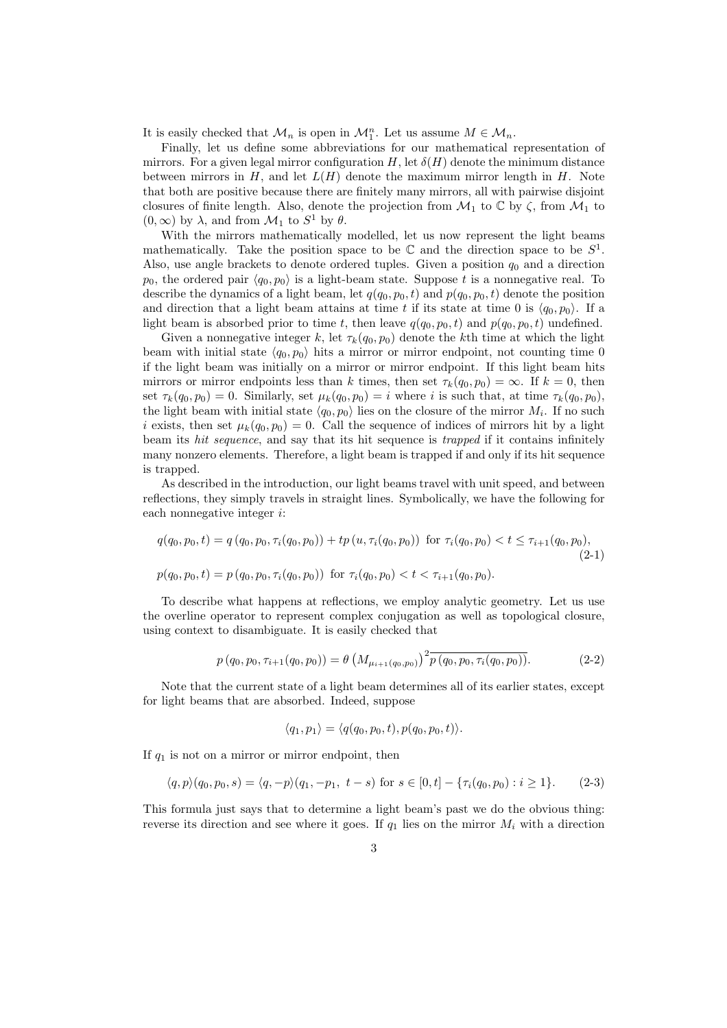It is easily checked that  $\mathcal{M}_n$  is open in  $\mathcal{M}_1^n$ . Let us assume  $M \in \mathcal{M}_n$ .

Finally, let us define some abbreviations for our mathematical representation of mirrors. For a given legal mirror configuration H, let  $\delta(H)$  denote the minimum distance between mirrors in  $H$ , and let  $L(H)$  denote the maximum mirror length in  $H$ . Note that both are positive because there are finitely many mirrors, all with pairwise disjoint closures of finite length. Also, denote the projection from  $\mathcal{M}_1$  to  $\mathbb C$  by  $\zeta$ , from  $\mathcal{M}_1$  to  $(0, \infty)$  by  $\lambda$ , and from  $\mathcal{M}_1$  to  $S^1$  by  $\theta$ .

With the mirrors mathematically modelled, let us now represent the light beams mathematically. Take the position space to be  $\mathbb C$  and the direction space to be  $S^1$ . Also, use angle brackets to denote ordered tuples. Given a position  $q_0$  and a direction  $p_0$ , the ordered pair  $\langle q_0, p_0 \rangle$  is a light-beam state. Suppose t is a nonnegative real. To describe the dynamics of a light beam, let  $q(q_0, p_0, t)$  and  $p(q_0, p_0, t)$  denote the position and direction that a light beam attains at time t if its state at time 0 is  $\langle q_0, p_0 \rangle$ . If a light beam is absorbed prior to time t, then leave  $q(q_0, p_0, t)$  and  $p(q_0, p_0, t)$  undefined.

Given a nonnegative integer k, let  $\tau_k(q_0, p_0)$  denote the kth time at which the light beam with initial state  $\langle q_0, p_0 \rangle$  hits a mirror or mirror endpoint, not counting time 0 if the light beam was initially on a mirror or mirror endpoint. If this light beam hits mirrors or mirror endpoints less than k times, then set  $\tau_k(q_0, p_0) = \infty$ . If  $k = 0$ , then set  $\tau_k(q_0, p_0) = 0$ . Similarly, set  $\mu_k(q_0, p_0) = i$  where i is such that, at time  $\tau_k(q_0, p_0)$ , the light beam with initial state  $\langle q_0, p_0 \rangle$  lies on the closure of the mirror  $M_i$ . If no such i exists, then set  $\mu_k(q_0, p_0) = 0$ . Call the sequence of indices of mirrors hit by a light beam its hit sequence, and say that its hit sequence is trapped if it contains infinitely many nonzero elements. Therefore, a light beam is trapped if and only if its hit sequence is trapped.

As described in the introduction, our light beams travel with unit speed, and between reflections, they simply travels in straight lines. Symbolically, we have the following for each nonnegative integer i:

$$
q(q_0, p_0, t) = q(q_0, p_0, \tau_i(q_0, p_0)) + tp(u, \tau_i(q_0, p_0)) \text{ for } \tau_i(q_0, p_0) < t \le \tau_{i+1}(q_0, p_0),
$$
  
(2-1)  

$$
p(q_0, p_0, t) = p(q_0, p_0, \tau_i(q_0, p_0)) \text{ for } \tau_i(q_0, p_0) < t < \tau_{i+1}(q_0, p_0).
$$

To describe what happens at reflections, we employ analytic geometry. Let us use the overline operator to represent complex conjugation as well as topological closure, using context to disambiguate. It is easily checked that

$$
p(q_0, p_0, \tau_{i+1}(q_0, p_0)) = \theta \left( M_{\mu_{i+1}(q_0, p_0)} \right)^2 \overline{p(q_0, p_0, \tau_i(q_0, p_0))}.
$$
 (2-2)

Note that the current state of a light beam determines all of its earlier states, except for light beams that are absorbed. Indeed, suppose

$$
\langle q_1, p_1 \rangle = \langle q(q_0, p_0, t), p(q_0, p_0, t) \rangle.
$$

If  $q_1$  is not on a mirror or mirror endpoint, then

$$
\langle q, p \rangle (q_0, p_0, s) = \langle q, -p \rangle (q_1, -p_1, t-s) \text{ for } s \in [0, t] - \{\tau_i(q_0, p_0) : i \ge 1\}. \tag{2-3}
$$

This formula just says that to determine a light beam's past we do the obvious thing: reverse its direction and see where it goes. If  $q_1$  lies on the mirror  $M_i$  with a direction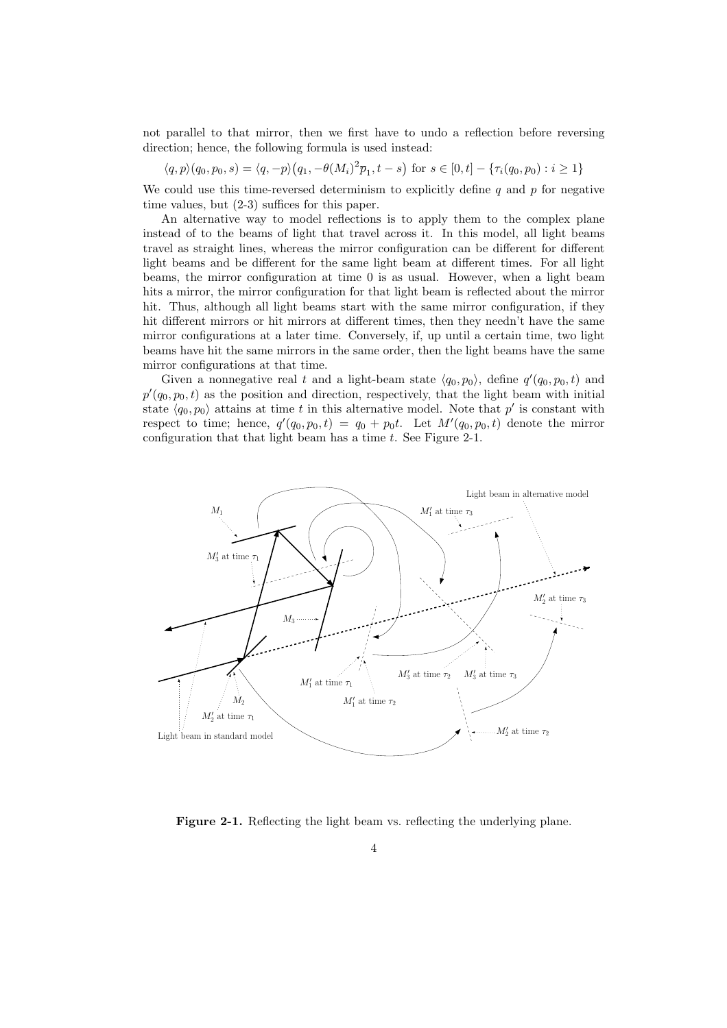not parallel to that mirror, then we first have to undo a reflection before reversing direction; hence, the following formula is used instead:

$$
\langle q, p \rangle (q_0, p_0, s) = \langle q, -p \rangle (q_1, -\theta(M_i)^2 \overline{p}_1, t-s) \text{ for } s \in [0, t] - \{ \tau_i(q_0, p_0) : i \ge 1 \}
$$

We could use this time-reversed determinism to explicitly define q and p for negative time values, but (2-3) suffices for this paper.

An alternative way to model reflections is to apply them to the complex plane instead of to the beams of light that travel across it. In this model, all light beams travel as straight lines, whereas the mirror configuration can be different for different light beams and be different for the same light beam at different times. For all light beams, the mirror configuration at time 0 is as usual. However, when a light beam hits a mirror, the mirror configuration for that light beam is reflected about the mirror hit. Thus, although all light beams start with the same mirror configuration, if they hit different mirrors or hit mirrors at different times, then they needn't have the same mirror configurations at a later time. Conversely, if, up until a certain time, two light beams have hit the same mirrors in the same order, then the light beams have the same mirror configurations at that time.

Given a nonnegative real t and a light-beam state  $\langle q_0, p_0 \rangle$ , define  $q'(q_0, p_0, t)$  and  $p'(q_0, p_0, t)$  as the position and direction, respectively, that the light beam with initial state  $\langle q_0, p_0 \rangle$  attains at time t in this alternative model. Note that p' is constant with respect to time; hence,  $q'(q_0, p_0, t) = q_0 + p_0 t$ . Let  $M'(q_0, p_0, t)$  denote the mirror configuration that that light beam has a time  $t$ . See Figure 2-1.



Figure 2-1. Reflecting the light beam vs. reflecting the underlying plane.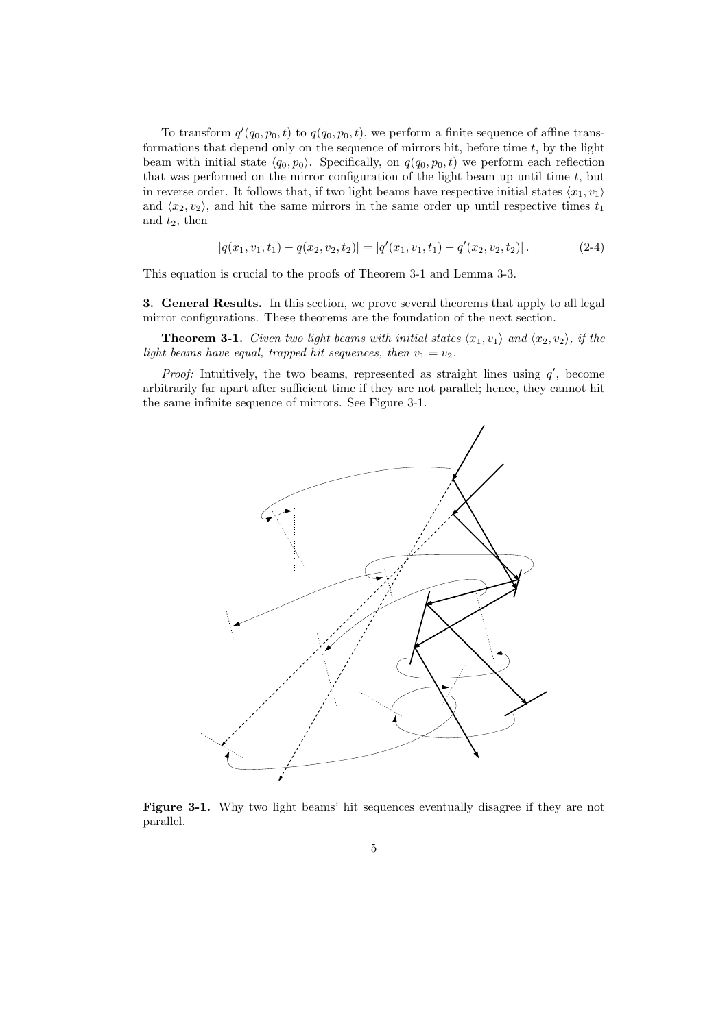To transform  $q'(q_0, p_0, t)$  to  $q(q_0, p_0, t)$ , we perform a finite sequence of affine transformations that depend only on the sequence of mirrors hit, before time  $t$ , by the light beam with initial state  $\langle q_0, p_0 \rangle$ . Specifically, on  $q(q_0, p_0, t)$  we perform each reflection that was performed on the mirror configuration of the light beam up until time  $t$ , but in reverse order. It follows that, if two light beams have respective initial states  $\langle x_1, v_1 \rangle$ and  $\langle x_2, v_2 \rangle$ , and hit the same mirrors in the same order up until respective times  $t_1$ and  $t_2$ , then

$$
|q(x_1, v_1, t_1) - q(x_2, v_2, t_2)| = |q'(x_1, v_1, t_1) - q'(x_2, v_2, t_2)|.
$$
 (2-4)

This equation is crucial to the proofs of Theorem 3-1 and Lemma 3-3.

3. General Results. In this section, we prove several theorems that apply to all legal mirror configurations. These theorems are the foundation of the next section.

**Theorem 3-1.** Given two light beams with initial states  $\langle x_1, v_1 \rangle$  and  $\langle x_2, v_2 \rangle$ , if the light beams have equal, trapped hit sequences, then  $v_1 = v_2$ .

*Proof:* Intuitively, the two beams, represented as straight lines using  $q'$ , become arbitrarily far apart after sufficient time if they are not parallel; hence, they cannot hit the same infinite sequence of mirrors. See Figure 3-1.



Figure 3-1. Why two light beams' hit sequences eventually disagree if they are not parallel.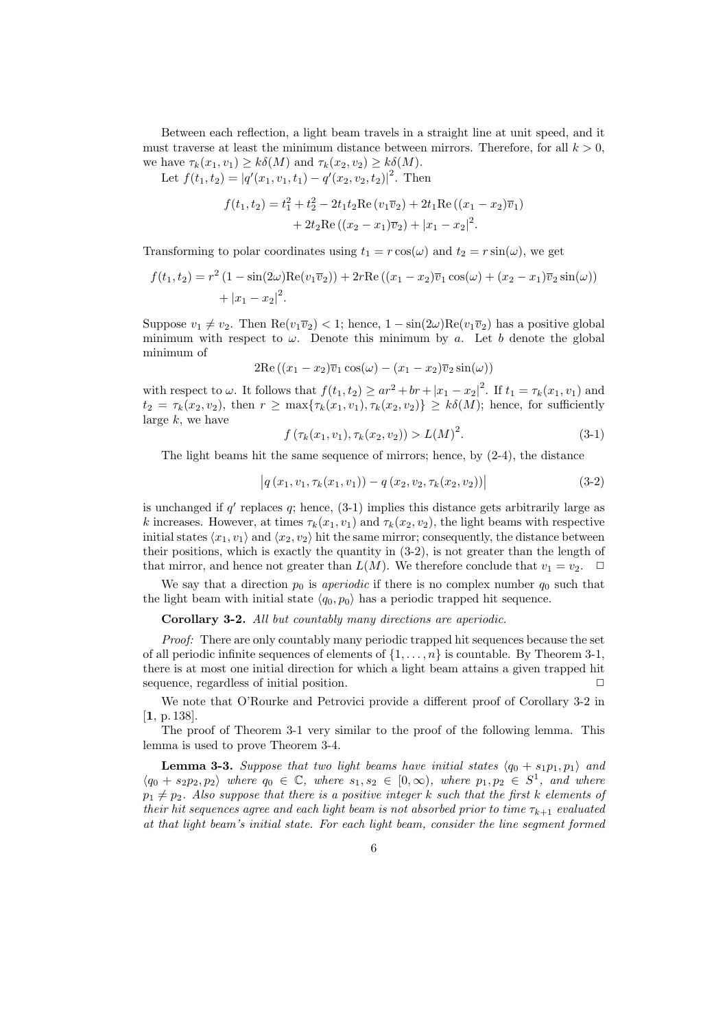Between each reflection, a light beam travels in a straight line at unit speed, and it must traverse at least the minimum distance between mirrors. Therefore, for all  $k > 0$ , we have  $\tau_k(x_1, v_1) \geq k\delta(M)$  and  $\tau_k(x_2, v_2) \geq k\delta(M)$ .

Let  $f(t_1, t_2) = |q'(x_1, v_1, t_1) - q'(x_2, v_2, t_2)|^2$ . Then

$$
f(t_1, t_2) = t_1^2 + t_2^2 - 2t_1t_2 \operatorname{Re}(v_1 \overline{v}_2) + 2t_1 \operatorname{Re}((x_1 - x_2)\overline{v}_1)
$$
  
+ 
$$
2t_2 \operatorname{Re}((x_2 - x_1)\overline{v}_2) + |x_1 - x_2|^2.
$$

Transforming to polar coordinates using  $t_1 = r \cos(\omega)$  and  $t_2 = r \sin(\omega)$ , we get

$$
f(t_1, t_2) = r^2 (1 - \sin(2\omega) \text{Re}(v_1 \overline{v}_2)) + 2r \text{Re}((x_1 - x_2)\overline{v}_1 \cos(\omega) + (x_2 - x_1)\overline{v}_2 \sin(\omega)) + |x_1 - x_2|^2.
$$

Suppose  $v_1 \neq v_2$ . Then  $\text{Re}(v_1\overline{v}_2) < 1$ ; hence,  $1 - \sin(2\omega)\text{Re}(v_1\overline{v}_2)$  has a positive global minimum with respect to  $\omega$ . Denote this minimum by a. Let b denote the global minimum of

$$
2\mathrm{Re}\left((x_1-x_2)\overline{v}_1\cos(\omega)-(x_1-x_2)\overline{v}_2\sin(\omega)\right)
$$

with respect to  $\omega$ . It follows that  $f(t_1, t_2) \ge ar^2 + br + |x_1 - x_2|^2$ . If  $t_1 = \tau_k(x_1, v_1)$  and  $t_2 = \tau_k(x_2, v_2)$ , then  $r \geq \max{\tau_k(x_1, v_1), \tau_k(x_2, v_2)} \geq k\delta(M)$ ; hence, for sufficiently large  $k$ , we have

$$
f(\tau_k(x_1, v_1), \tau_k(x_2, v_2)) > L(M)^2.
$$
\n(3-1)

The light beams hit the same sequence of mirrors; hence, by (2-4), the distance

$$
|q(x_1, v_1, \tau_k(x_1, v_1)) - q(x_2, v_2, \tau_k(x_2, v_2))|
$$
\n(3-2)

is unchanged if  $q'$  replaces  $q$ ; hence,  $(3-1)$  implies this distance gets arbitrarily large as k increases. However, at times  $\tau_k(x_1, v_1)$  and  $\tau_k(x_2, v_2)$ , the light beams with respective initial states  $\langle x_1, v_1 \rangle$  and  $\langle x_2, v_2 \rangle$  hit the same mirror; consequently, the distance between their positions, which is exactly the quantity in (3-2), is not greater than the length of that mirror, and hence not greater than  $L(M)$ . We therefore conclude that  $v_1 = v_2$ .  $\Box$ 

We say that a direction  $p_0$  is *aperiodic* if there is no complex number  $q_0$  such that the light beam with initial state  $\langle q_0, p_0 \rangle$  has a periodic trapped hit sequence.

Corollary 3-2. All but countably many directions are aperiodic.

Proof: There are only countably many periodic trapped hit sequences because the set of all periodic infinite sequences of elements of  $\{1, \ldots, n\}$  is countable. By Theorem 3-1, there is at most one initial direction for which a light beam attains a given trapped hit sequence, regardless of initial position.  $\Box$ 

We note that O'Rourke and Petrovici provide a different proof of Corollary 3-2 in [**1**, p. 138].

The proof of Theorem 3-1 very similar to the proof of the following lemma. This lemma is used to prove Theorem 3-4.

**Lemma 3-3.** Suppose that two light beams have initial states  $\langle q_0 + s_1 p_1, p_1 \rangle$  and  $\langle q_0 + s_2 p_2, p_2 \rangle$  where  $q_0 \in \mathbb{C}$ , where  $s_1, s_2 \in [0, \infty)$ , where  $p_1, p_2 \in S^1$ , and where  $p_1 \neq p_2$ . Also suppose that there is a positive integer k such that the first k elements of their hit sequences agree and each light beam is not absorbed prior to time  $\tau_{k+1}$  evaluated at that light beam's initial state. For each light beam, consider the line segment formed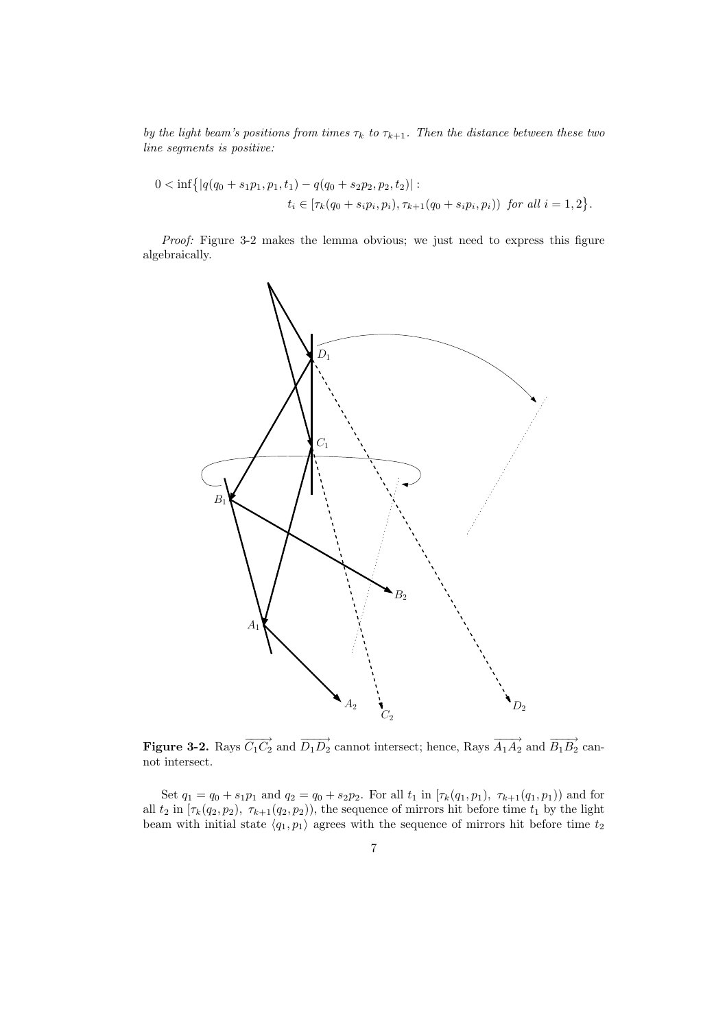by the light beam's positions from times  $\tau_k$  to  $\tau_{k+1}$ . Then the distance between these two  $\it line$  segments is positive:

$$
0 < \inf\{|q(q_0 + s_1p_1, p_1, t_1) - q(q_0 + s_2p_2, p_2, t_2)| :\n t_i \in [\tau_k(q_0 + s_i p_i, p_i), \tau_{k+1}(q_0 + s_i p_i, p_i)) \text{ for all } i = 1, 2\}.
$$

Proof: Figure 3-2 makes the lemma obvious; we just need to express this figure algebraically.



**Figure 3-2.** Rays  $\overrightarrow{C_1C_2}$  and  $\overrightarrow{D_1D_2}$  cannot intersect; hence, Rays  $\overrightarrow{A_1A_2}$  and  $\overrightarrow{B_1B_2}$  cannot intersect.

Set  $q_1 = q_0 + s_1p_1$  and  $q_2 = q_0 + s_2p_2$ . For all  $t_1$  in  $[\tau_k(q_1, p_1), \tau_{k+1}(q_1, p_1)]$  and for all  $t_2$  in  $[\tau_k(q_2, p_2), \tau_{k+1}(q_2, p_2)]$ , the sequence of mirrors hit before time  $t_1$  by the light beam with initial state  $\langle q_1, p_1 \rangle$  agrees with the sequence of mirrors hit before time  $t_2$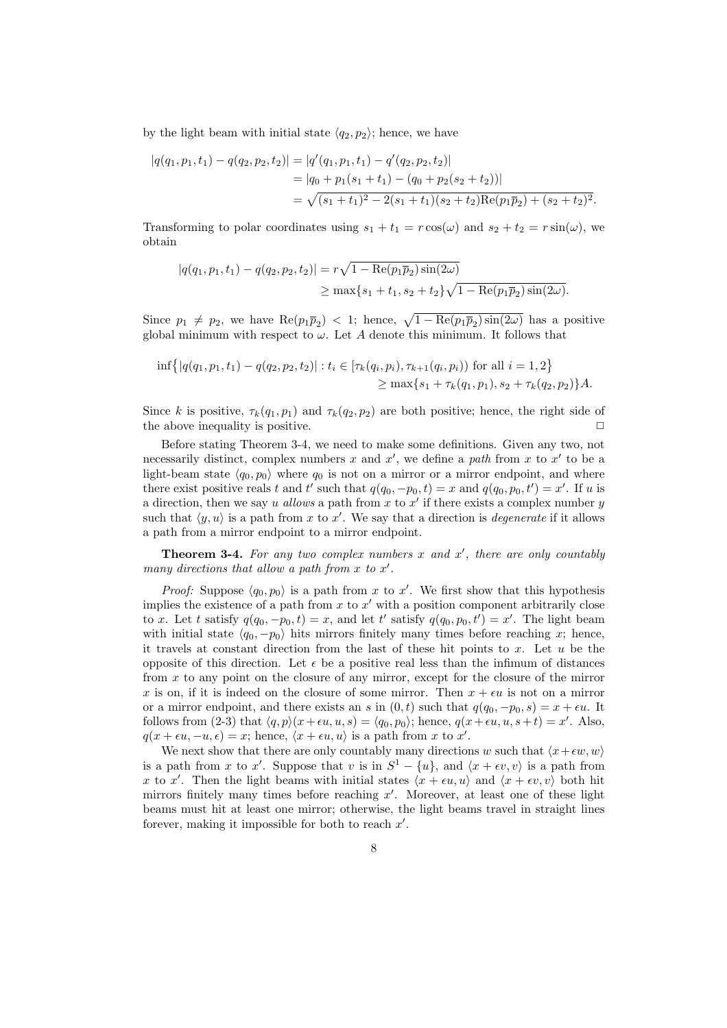by the light beam with initial state  $\langle q_2, p_2 \rangle$ ; hence, we have

$$
|q(q_1, p_1, t_1) - q(q_2, p_2, t_2)| = |q'(q_1, p_1, t_1) - q'(q_2, p_2, t_2)|
$$
  
= 
$$
|q_0 + p_1(s_1 + t_1) - (q_0 + p_2(s_2 + t_2))|
$$
  
= 
$$
\sqrt{(s_1 + t_1)^2 - 2(s_1 + t_1)(s_2 + t_2)Re(p_1\overline{p}_2) + (s_2 + t_2)^2}.
$$

Transforming to polar coordinates using  $s_1 + t_1 = r \cos(\omega)$  and  $s_2 + t_2 = r \sin(\omega)$ , we obtain

$$
|q(q_1, p_1, t_1) - q(q_2, p_2, t_2)| = r\sqrt{1 - \text{Re}(p_1 \overline{p}_2)\sin(2\omega)}
$$
  
\n
$$
\geq \max\{s_1 + t_1, s_2 + t_2\}\sqrt{1 - \text{Re}(p_1 \overline{p}_2)\sin(2\omega)}.
$$

Since  $p_1 \neq p_2$ , we have  $\text{Re}(p_1 \overline{p}_2) < 1$ ; hence,  $\sqrt{1 - \text{Re}(p_1 \overline{p}_2) \sin(2\omega)}$  has a positive global minimum with respect to  $\omega$ . Let A denote this minimum. It follows that

$$
\inf\{|q(q_1, p_1, t_1) - q(q_2, p_2, t_2)| : t_i \in [\tau_k(q_i, p_i), \tau_{k+1}(q_i, p_i)) \text{ for all } i = 1, 2\}
$$
  
\n
$$
\geq \max\{s_1 + \tau_k(q_1, p_1), s_2 + \tau_k(q_2, p_2)\}A.
$$

Since k is positive,  $\tau_k(q_1, p_1)$  and  $\tau_k(q_2, p_2)$  are both positive; hence, the right side of the above inequality is positive.

Before stating Theorem 3-4, we need to make some definitions. Given any two, not necessarily distinct, complex numbers x and  $x'$ , we define a path from x to  $x'$  to be a light-beam state  $\langle q_0, p_0 \rangle$  where  $q_0$  is not on a mirror or a mirror endpoint, and where there exist positive reals t and t' such that  $q(q_0, -p_0, t) = x$  and  $q(q_0, p_0, t') = x'$ . If u is a direction, then we say u allows a path from x to  $x'$  if there exists a complex number y such that  $\langle y, u \rangle$  is a path from x to x'. We say that a direction is *degenerate* if it allows a path from a mirror endpoint to a mirror endpoint.

**Theorem 3-4.** For any two complex numbers  $x$  and  $x'$ , there are only countably many directions that allow a path from  $x$  to  $x'$ .

*Proof:* Suppose  $\langle q_0, p_0 \rangle$  is a path from x to x'. We first show that this hypothesis implies the existence of a path from  $x$  to  $x'$  with a position component arbitrarily close to x. Let t satisfy  $q(q_0, -p_0, t) = x$ , and let t' satisfy  $q(q_0, p_0, t') = x'$ . The light beam with initial state  $\langle q_0, -p_0 \rangle$  hits mirrors finitely many times before reaching x; hence, it travels at constant direction from the last of these hit points to  $x$ . Let  $u$  be the opposite of this direction. Let  $\epsilon$  be a positive real less than the infimum of distances from x to any point on the closure of any mirror, except for the closure of the mirror x is on, if it is indeed on the closure of some mirror. Then  $x + \epsilon u$  is not on a mirror or a mirror endpoint, and there exists an s in  $(0, t)$  such that  $q(q_0, -p_0, s) = x + \epsilon u$ . It follows from (2-3) that  $\langle q, p \rangle (x + \epsilon u, u, s) = \langle q_0, p_0 \rangle$ ; hence,  $q(x + \epsilon u, u, s + t) = x'$ . Also,  $q(x + \epsilon u, -u, \epsilon) = x$ ; hence,  $\langle x + \epsilon u, u \rangle$  is a path from x to x'.

We next show that there are only countably many directions w such that  $\langle x+\epsilon w, w \rangle$ is a path from x to x'. Suppose that v is in  $S^1 - \{u\}$ , and  $\langle x + \epsilon v, v \rangle$  is a path from x to x'. Then the light beams with initial states  $\langle x + \epsilon u, u \rangle$  and  $\langle x + \epsilon v, v \rangle$  both hit mirrors finitely many times before reaching  $x'$ . Moreover, at least one of these light beams must hit at least one mirror; otherwise, the light beams travel in straight lines forever, making it impossible for both to reach  $x'$ .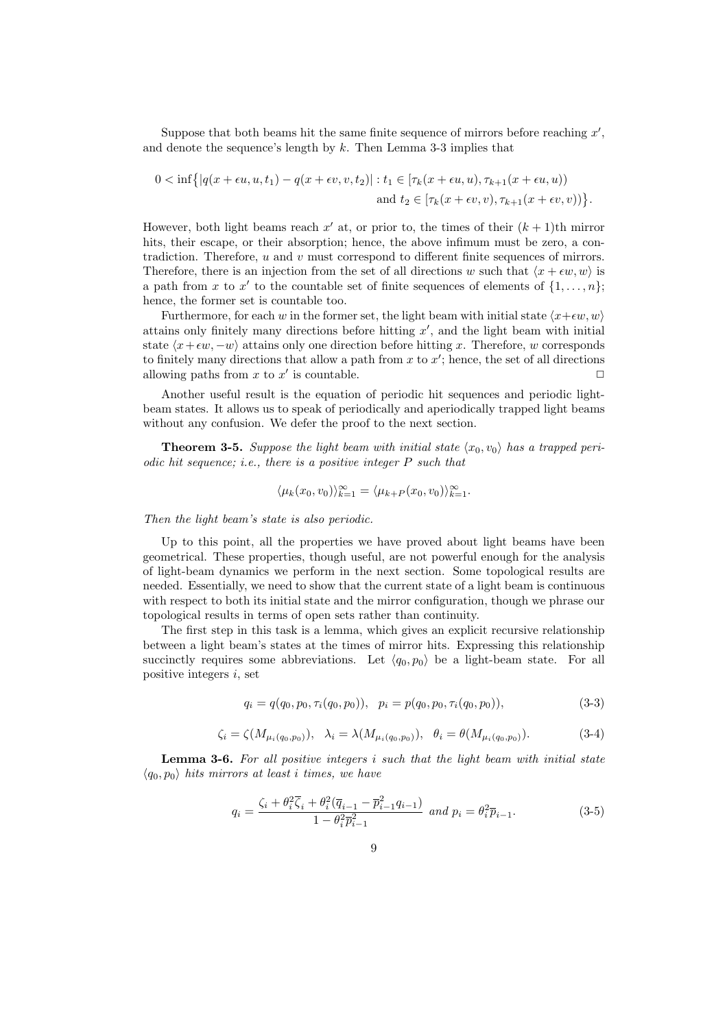Suppose that both beams hit the same finite sequence of mirrors before reaching  $x'$ , and denote the sequence's length by  $k$ . Then Lemma 3-3 implies that

$$
0 < \inf\left\{ \left| q(x + \epsilon u, u, t_1) - q(x + \epsilon v, v, t_2) \right| : t_1 \in \left[ \tau_k(x + \epsilon u, u), \tau_{k+1}(x + \epsilon u, u) \right) \right\}
$$
\n
$$
\text{and } t_2 \in \left[ \tau_k(x + \epsilon v, v), \tau_{k+1}(x + \epsilon v, v) \right) \right\}.
$$

However, both light beams reach  $x'$  at, or prior to, the times of their  $(k + 1)$ th mirror hits, their escape, or their absorption; hence, the above infimum must be zero, a contradiction. Therefore,  $u$  and  $v$  must correspond to different finite sequences of mirrors. Therefore, there is an injection from the set of all directions w such that  $\langle x + \epsilon w, w \rangle$  is a path from x to x' to the countable set of finite sequences of elements of  $\{1, \ldots, n\}$ ; hence, the former set is countable too.

Furthermore, for each w in the former set, the light beam with initial state  $\langle x+\epsilon w, w \rangle$ attains only finitely many directions before hitting  $x'$ , and the light beam with initial state  $\langle x+\epsilon w, -w \rangle$  attains only one direction before hitting x. Therefore, w corresponds to finitely many directions that allow a path from  $x$  to  $x'$ ; hence, the set of all directions allowing paths from x to x' is countable.  $\Box$ 

Another useful result is the equation of periodic hit sequences and periodic lightbeam states. It allows us to speak of periodically and aperiodically trapped light beams without any confusion. We defer the proof to the next section.

**Theorem 3-5.** Suppose the light beam with initial state  $\langle x_0, v_0 \rangle$  has a trapped periodic hit sequence; i.e., there is a positive integer P such that

$$
\langle \mu_k(x_0, v_0) \rangle_{k=1}^{\infty} = \langle \mu_{k+P}(x_0, v_0) \rangle_{k=1}^{\infty}.
$$

Then the light beam's state is also periodic.

Up to this point, all the properties we have proved about light beams have been geometrical. These properties, though useful, are not powerful enough for the analysis of light-beam dynamics we perform in the next section. Some topological results are needed. Essentially, we need to show that the current state of a light beam is continuous with respect to both its initial state and the mirror configuration, though we phrase our topological results in terms of open sets rather than continuity.

The first step in this task is a lemma, which gives an explicit recursive relationship between a light beam's states at the times of mirror hits. Expressing this relationship succinctly requires some abbreviations. Let  $\langle q_0, p_0 \rangle$  be a light-beam state. For all positive integers  $i$ , set

$$
q_i = q(q_0, p_0, \tau_i(q_0, p_0)), \quad p_i = p(q_0, p_0, \tau_i(q_0, p_0)), \tag{3-3}
$$

$$
\zeta_i = \zeta(M_{\mu_i(q_0, p_0)}), \quad \lambda_i = \lambda(M_{\mu_i(q_0, p_0)}), \quad \theta_i = \theta(M_{\mu_i(q_0, p_0)}).
$$
 (3-4)

Lemma 3-6. For all positive integers i such that the light beam with initial state  $\langle q_0, p_0 \rangle$  hits mirrors at least i times, we have

$$
q_i = \frac{\zeta_i + \theta_i^2 \overline{\zeta}_i + \theta_i^2 (\overline{q}_{i-1} - \overline{p}_{i-1}^2 q_{i-1})}{1 - \theta_i^2 \overline{p}_{i-1}^2} \text{ and } p_i = \theta_i^2 \overline{p}_{i-1}. \tag{3-5}
$$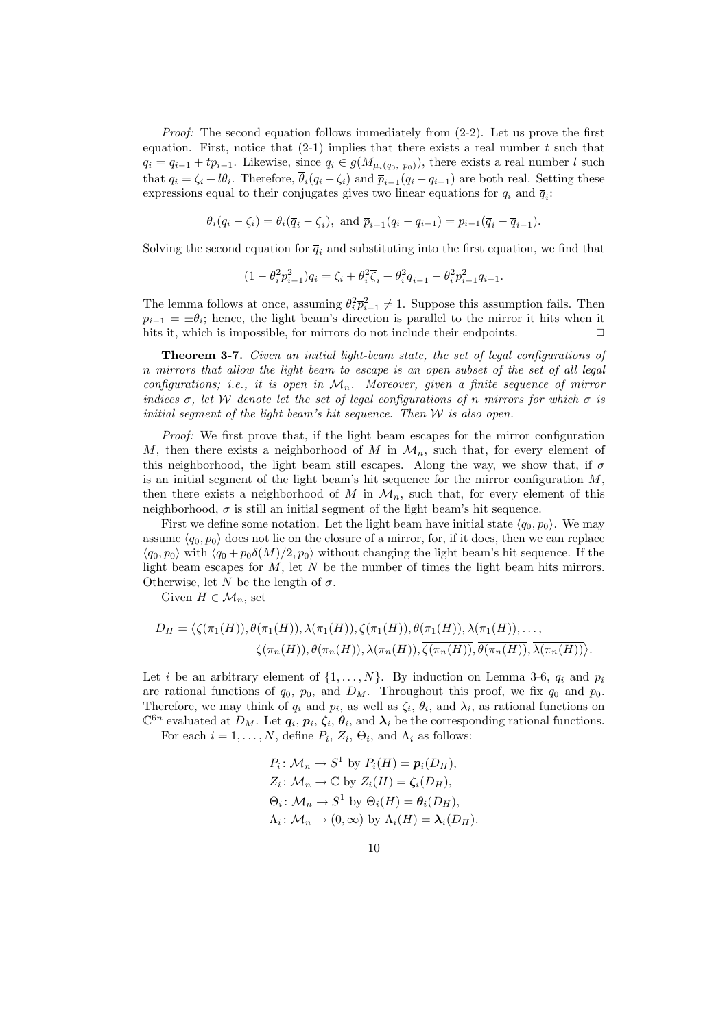*Proof:* The second equation follows immediately from  $(2-2)$ . Let us prove the first equation. First, notice that  $(2-1)$  implies that there exists a real number t such that  $q_i = q_{i-1} + tp_{i-1}$ . Likewise, since  $q_i \in g(M_{\mu_i(q_0, p_0)})$ , there exists a real number l such that  $q_i = \zeta_i + l\theta_i$ . Therefore,  $\overline{\theta}_i(q_i - \zeta_i)$  and  $\overline{p}_{i-1}(q_i - q_{i-1})$  are both real. Setting these expressions equal to their conjugates gives two linear equations for  $q_i$  and  $\overline{q}_i$ :

$$
\overline{\theta}_i(q_i - \zeta_i) = \theta_i(\overline{q}_i - \overline{\zeta}_i), \text{ and } \overline{p}_{i-1}(q_i - q_{i-1}) = p_{i-1}(\overline{q}_i - \overline{q}_{i-1}).
$$

Solving the second equation for  $\bar{q}_i$  and substituting into the first equation, we find that

$$
(1 - \theta_i^2 \overline{p}_{i-1}^2)q_i = \zeta_i + \theta_i^2 \overline{\zeta}_i + \theta_i^2 \overline{q}_{i-1} - \theta_i^2 \overline{p}_{i-1}^2 q_{i-1}.
$$

The lemma follows at once, assuming  $\theta_i^2 \bar{p}_{i-1}^2 \neq 1$ . Suppose this assumption fails. Then  $p_{i-1} = \pm \theta_i$ ; hence, the light beam's direction is parallel to the mirror it hits when it hits it, which is impossible, for mirrors do not include their endpoints.  $\Box$ 

Theorem 3-7. Given an initial light-beam state, the set of legal configurations of n mirrors that allow the light beam to escape is an open subset of the set of all legal configurations; i.e., it is open in  $\mathcal{M}_n$ . Moreover, given a finite sequence of mirror indices  $\sigma$ , let W denote let the set of legal configurations of n mirrors for which  $\sigma$  is initial segment of the light beam's hit sequence. Then  $W$  is also open.

Proof: We first prove that, if the light beam escapes for the mirror configuration M, then there exists a neighborhood of M in  $\mathcal{M}_n$ , such that, for every element of this neighborhood, the light beam still escapes. Along the way, we show that, if  $\sigma$ is an initial segment of the light beam's hit sequence for the mirror configuration  $M$ , then there exists a neighborhood of M in  $\mathcal{M}_n$ , such that, for every element of this neighborhood,  $\sigma$  is still an initial segment of the light beam's hit sequence.

First we define some notation. Let the light beam have initial state  $\langle q_0, p_0 \rangle$ . We may assume  $\langle q_0, p_0 \rangle$  does not lie on the closure of a mirror, for, if it does, then we can replace  $\langle q_0, p_0 \rangle$  with  $\langle q_0 + p_0 \delta(M)/2, p_0 \rangle$  without changing the light beam's hit sequence. If the light beam escapes for  $M$ , let  $N$  be the number of times the light beam hits mirrors. Otherwise, let N be the length of  $\sigma$ .

Given  $H \in \mathcal{M}_n$ , set

$$
D_H = \langle \zeta(\pi_1(H)), \theta(\pi_1(H)), \lambda(\pi_1(H)), \overline{\zeta(\pi_1(H))}, \overline{\theta(\pi_1(H))}, \overline{\lambda(\pi_1(H))}, \dots, \\ \zeta(\pi_n(H)), \theta(\pi_n(H)), \lambda(\pi_n(H)), \overline{\zeta(\pi_n(H))}, \overline{\theta(\pi_n(H))}, \overline{\lambda(\pi_n(H))} \rangle.
$$

Let i be an arbitrary element of  $\{1, \ldots, N\}$ . By induction on Lemma 3-6,  $q_i$  and  $p_i$ are rational functions of  $q_0$ ,  $p_0$ , and  $D_M$ . Throughout this proof, we fix  $q_0$  and  $p_0$ . Therefore, we may think of  $q_i$  and  $p_i$ , as well as  $\zeta_i$ ,  $\theta_i$ , and  $\lambda_i$ , as rational functions on  $\mathbb{C}^{6n}$  evaluated at  $D_M$ . Let  $q_i, p_i, \zeta_i, \theta_i$ , and  $\lambda_i$  be the corresponding rational functions.

For each  $i = 1, ..., N$ , define  $P_i$ ,  $Z_i$ ,  $\Theta_i$ , and  $\Lambda_i$  as follows:

$$
P_i: \mathcal{M}_n \to S^1 \text{ by } P_i(H) = \mathbf{p}_i(D_H),
$$
  
\n
$$
Z_i: \mathcal{M}_n \to \mathbb{C} \text{ by } Z_i(H) = \zeta_i(D_H),
$$
  
\n
$$
\Theta_i: \mathcal{M}_n \to S^1 \text{ by } \Theta_i(H) = \mathbf{\theta}_i(D_H),
$$
  
\n
$$
\Lambda_i: \mathcal{M}_n \to (0, \infty) \text{ by } \Lambda_i(H) = \lambda_i(D_H).
$$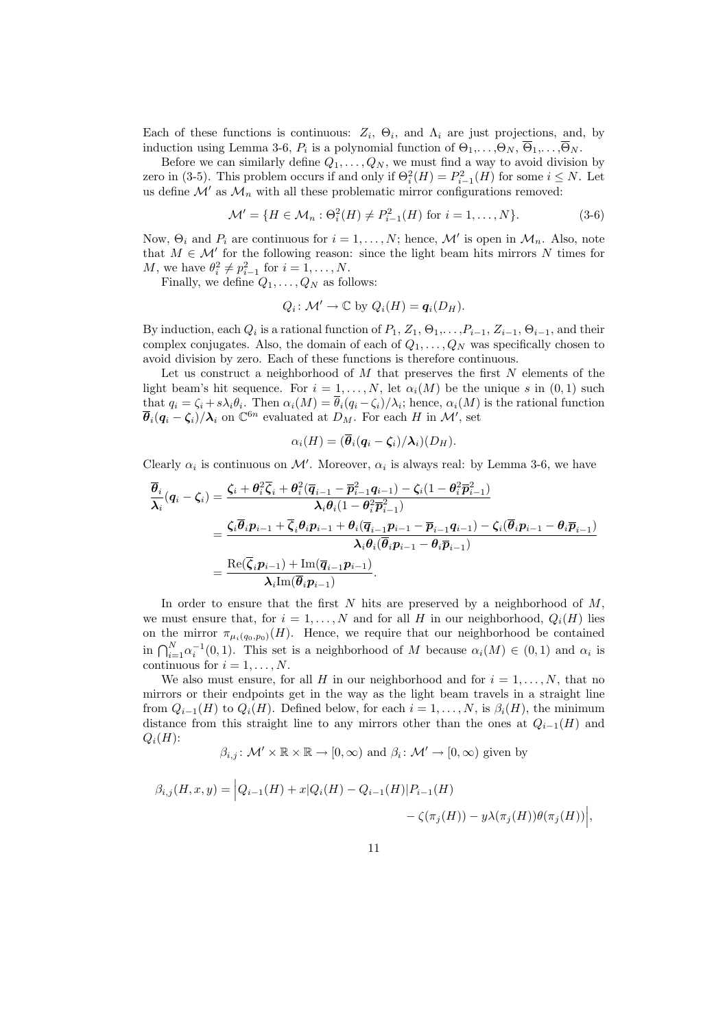Each of these functions is continuous:  $Z_i$ ,  $\Theta_i$ , and  $\Lambda_i$  are just projections, and, by induction using Lemma 3-6,  $P_i$  is a polynomial function of  $\Theta_1,\ldots,\Theta_N, \overline{\Theta}_1,\ldots,\overline{\Theta}_N$ .

Before we can similarly define  $Q_1, \ldots, Q_N$ , we must find a way to avoid division by zero in (3-5). This problem occurs if and only if  $\Theta_i^2(H) = P_{i-1}^2(H)$  for some  $i \leq N$ . Let us define  $\mathcal{M}'$  as  $\mathcal{M}_n$  with all these problematic mirror configurations removed:

$$
\mathcal{M}' = \{ H \in \mathcal{M}_n : \Theta_i^2(H) \neq P_{i-1}^2(H) \text{ for } i = 1, ..., N \}. \tag{3-6}
$$

Now,  $\Theta_i$  and  $P_i$  are continuous for  $i = 1, ..., N$ ; hence, M' is open in  $\mathcal{M}_n$ . Also, note that  $M \in \mathcal{M}'$  for the following reason: since the light beam hits mirrors N times for M, we have  $\theta_i^2 \neq p_{i-1}^2$  for  $i = 1, \ldots, N$ .

Finally, we define  $Q_1, \ldots, Q_N$  as follows:

$$
Q_i \colon \mathcal{M}' \to \mathbb{C} \text{ by } Q_i(H) = \mathbf{q}_i(D_H).
$$

By induction, each  $Q_i$  is a rational function of  $P_1, Z_1, \Theta_1, \ldots, P_{i-1}, Z_{i-1}, \Theta_{i-1}$ , and their complex conjugates. Also, the domain of each of  $Q_1, \ldots, Q_N$  was specifically chosen to avoid division by zero. Each of these functions is therefore continuous.

Let us construct a neighborhood of  $M$  that preserves the first  $N$  elements of the light beam's hit sequence. For  $i = 1, \ldots, N$ , let  $\alpha_i(M)$  be the unique s in  $(0, 1)$  such that  $q_i = \zeta_i + s\lambda_i \theta_i$ . Then  $\alpha_i(M) = \theta_i(q_i - \zeta_i)/\lambda_i$ ; hence,  $\alpha_i(M)$  is the rational function  $\overline{\theta}_i(q_i - \zeta_i)/\lambda_i$  on  $\mathbb{C}^{6n}$  evaluated at  $D_M$ . For each H in M', set

$$
\alpha_i(H) = (\overline{\boldsymbol{\theta}}_i(\boldsymbol{q}_i - \boldsymbol{\zeta}_i)/\boldsymbol{\lambda}_i)(D_H).
$$

Clearly  $\alpha_i$  is continuous on M'. Moreover,  $\alpha_i$  is always real: by Lemma 3-6, we have

$$
\begin{aligned} \overline{\theta}_{i}(\boldsymbol{q}_{i}-\boldsymbol{\zeta}_{i})&=\frac{\boldsymbol{\zeta}_{i}+\boldsymbol{\theta}_{i}^{2}\overline{\boldsymbol{\zeta}}_{i}+\boldsymbol{\theta}_{i}^{2}(\overline{\boldsymbol{q}}_{i-1}-\overline{\boldsymbol{p}}_{i-1}^{2}\boldsymbol{q}_{i-1})-\boldsymbol{\zeta}_{i}(1-\boldsymbol{\theta}_{i}^{2}\overline{\boldsymbol{p}}_{i-1}^{2})}{\lambda_{i}\boldsymbol{\theta}_{i}(1-\boldsymbol{\theta}_{i}^{2}\overline{\boldsymbol{p}}_{i-1}^{2})}\\ &=\frac{\boldsymbol{\zeta}_{i}\overline{\boldsymbol{\theta}}_{i}\boldsymbol{p}_{i-1}+\overline{\boldsymbol{\zeta}}_{i}\boldsymbol{\theta}_{i}\boldsymbol{p}_{i-1}+\boldsymbol{\theta}_{i}(\overline{\boldsymbol{q}}_{i-1}\boldsymbol{p}_{i-1}-\overline{\boldsymbol{p}}_{i-1}\boldsymbol{q}_{i-1})-\boldsymbol{\zeta}_{i}(\overline{\boldsymbol{\theta}}_{i}\boldsymbol{p}_{i-1}-\boldsymbol{\theta}_{i}\overline{\boldsymbol{p}}_{i-1})}{\lambda_{i}\boldsymbol{\theta}_{i}(\overline{\boldsymbol{\theta}}_{i}\boldsymbol{p}_{i-1}-\boldsymbol{\theta}_{i}\overline{\boldsymbol{p}}_{i-1})} \\ &=\frac{\mathrm{Re}(\overline{\boldsymbol{\zeta}}_{i}\boldsymbol{p}_{i-1})+\mathrm{Im}(\overline{\boldsymbol{q}}_{i-1}\boldsymbol{p}_{i-1})}{\lambda_{i}\mathrm{Im}(\overline{\boldsymbol{\theta}}_{i}\boldsymbol{p}_{i-1})}. \end{aligned}
$$

In order to ensure that the first  $N$  hits are preserved by a neighborhood of  $M$ , we must ensure that, for  $i = 1, ..., N$  and for all H in our neighborhood,  $Q_i(H)$  lies on the mirror  $\pi_{\mu_i(q_0,p_0)}(H)$ . Hence, we require that our neighborhood be contained in  $\bigcap_{i=1}^{N} \alpha_i^{-1}(0,1)$ . This set is a neighborhood of M because  $\alpha_i(M) \in (0,1)$  and  $\alpha_i$  is continuous for  $i = 1, \ldots, N$ .

We also must ensure, for all H in our neighborhood and for  $i = 1, \ldots, N$ , that no mirrors or their endpoints get in the way as the light beam travels in a straight line from  $Q_{i-1}(H)$  to  $Q_i(H)$ . Defined below, for each  $i = 1, \ldots, N$ , is  $\beta_i(H)$ , the minimum distance from this straight line to any mirrors other than the ones at  $Q_{i-1}(H)$  and  $Q_i(H)$ :

$$
\beta_{i,j} : \mathcal{M}' \times \mathbb{R} \times \mathbb{R} \to [0, \infty)
$$
 and  $\beta_i : \mathcal{M}' \to [0, \infty)$  given by

$$
\beta_{i,j}(H, x, y) = |Q_{i-1}(H) + x|Q_i(H) - Q_{i-1}(H)|P_{i-1}(H) - \zeta(\pi_j(H)) - y\lambda(\pi_j(H))\theta(\pi_j(H))|,
$$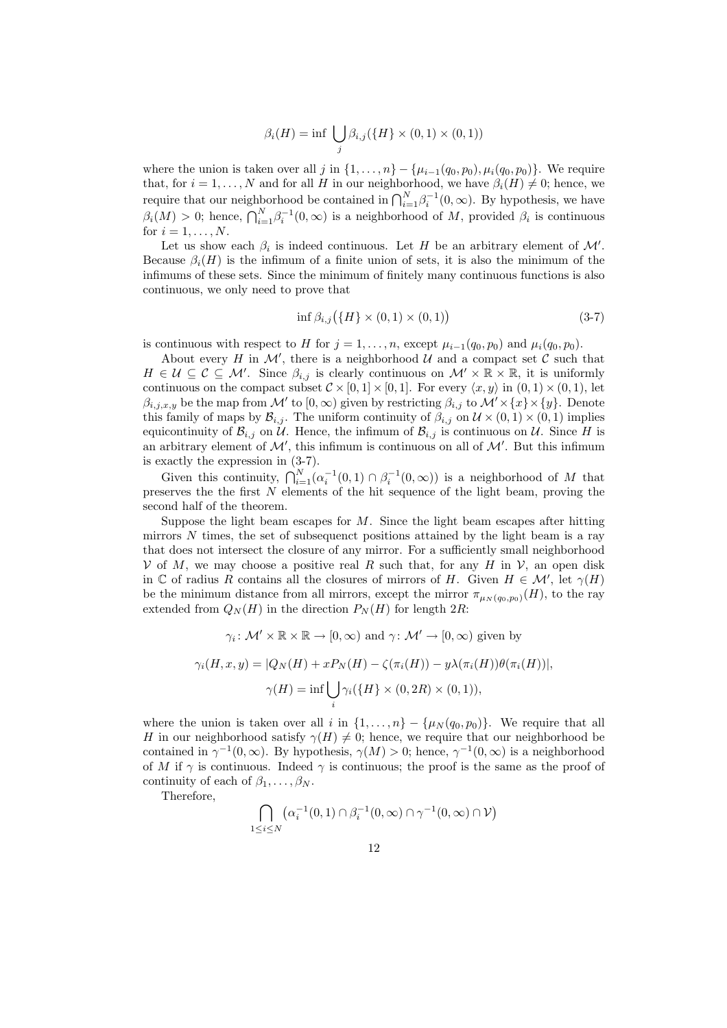$$
\beta_i(H) = \inf \bigcup_j \beta_{i,j}(\{H\} \times (0,1) \times (0,1))
$$

where the union is taken over all j in  $\{1,\ldots,n\} - \{\mu_{i-1}(q_0,p_0),\mu_i(q_0,p_0)\}\.$  We require that, for  $i = 1, ..., N$  and for all H in our neighborhood, we have  $\beta_i(H) \neq 0$ ; hence, we equire that our neighborhood be contained in  $\bigcap_{i=1}^{N} \beta_i^{-1}(0,\infty)$ . By hypothesis, we have  $\beta_i(M) > 0$ ; hence,  $\bigcap_{i=1}^{N} \beta_i^{-1}(0,\infty)$  is a neighborhood of M, provided  $\beta_i$  is continuous for  $i = 1, \ldots, N$ .

Let us show each  $\beta_i$  is indeed continuous. Let H be an arbitrary element of  $\mathcal{M}'$ . Because  $\beta_i(H)$  is the infimum of a finite union of sets, it is also the minimum of the infimums of these sets. Since the minimum of finitely many continuous functions is also continuous, we only need to prove that

$$
\inf \beta_{i,j} (\{H\} \times (0,1) \times (0,1))
$$
\n(3-7)

is continuous with respect to H for  $j = 1, \ldots, n$ , except  $\mu_{i-1}(q_0, p_0)$  and  $\mu_i(q_0, p_0)$ .

About every H in  $\mathcal{M}'$ , there is a neighborhood  $\mathcal{U}$  and a compact set C such that  $H \in \mathcal{U} \subseteq \mathcal{C} \subseteq \mathcal{M}'$ . Since  $\beta_{i,j}$  is clearly continuous on  $\mathcal{M}' \times \mathbb{R} \times \mathbb{R}$ , it is uniformly continuous on the compact subset  $\mathcal{C} \times [0,1] \times [0,1]$ . For every  $\langle x, y \rangle$  in  $(0,1) \times (0,1)$ , let  $\beta_{i,j,x,y}$  be the map from M' to  $[0,\infty)$  given by restricting  $\beta_{i,j}$  to  $\mathcal{M}' \times \{x\} \times \{y\}$ . Denote this family of maps by  $\mathcal{B}_{i,j}$ . The uniform continuity of  $\beta_{i,j}$  on  $\mathcal{U} \times (0,1) \times (0,1)$  implies equicontinuity of  $\mathcal{B}_{i,j}$  on U. Hence, the infimum of  $\mathcal{B}_{i,j}$  is continuous on U. Since H is an arbitrary element of  $\mathcal{M}'$ , this infimum is continuous on all of  $\mathcal{M}'$ . But this infimum

is exactly the expression in (3-7).<br>Given this continuity,  $\bigcap_{i=1}^{N} (\alpha_i^{-1}(0,1) \cap \beta_i^{-1}(0,\infty))$  is a neighborhood of M that preserves the the first  $N$  elements of the hit sequence of the light beam, proving the second half of the theorem.

Suppose the light beam escapes for  $M$ . Since the light beam escapes after hitting mirrors  $N$  times, the set of subsequenct positions attained by the light beam is a ray that does not intersect the closure of any mirror. For a sufficiently small neighborhood  $V$  of M, we may choose a positive real R such that, for any H in V, an open disk in C of radius R contains all the closures of mirrors of H. Given  $H \in \mathcal{M}'$ , let  $\gamma(H)$ be the minimum distance from all mirrors, except the mirror  $\pi_{\mu_N(q_0,p_0)}(H)$ , to the ray extended from  $Q_N(H)$  in the direction  $P_N(H)$  for length 2R:

$$
\gamma_i \colon \mathcal{M}' \times \mathbb{R} \times \mathbb{R} \to [0, \infty) \text{ and } \gamma \colon \mathcal{M}' \to [0, \infty) \text{ given by}
$$

$$
\gamma_i(H, x, y) = |Q_N(H) + xP_N(H) - \zeta(\pi_i(H)) - y\lambda(\pi_i(H))\theta(\pi_i(H))|,
$$

$$
\gamma(H) = \inf \bigcup_i \gamma_i(\{H\} \times (0, 2R) \times (0, 1)),
$$

where the union is taken over all i in  $\{1, \ldots, n\} - \{\mu_N(q_0, p_0)\}\)$ . We require that all H in our neighborhood satisfy  $\gamma(H) \neq 0$ ; hence, we require that our neighborhood be contained in  $\gamma^{-1}(0,\infty)$ . By hypothesis,  $\gamma(M) > 0$ ; hence,  $\gamma^{-1}(0,\infty)$  is a neighborhood of M if  $\gamma$  is continuous. Indeed  $\gamma$  is continuous; the proof is the same as the proof of continuity of each of  $\beta_1, \ldots, \beta_N$ .

Therefore,

$$
\bigcap_{1 \leq i \leq N} \left( \alpha_i^{-1}(0,1) \cap \beta_i^{-1}(0,\infty) \cap \gamma^{-1}(0,\infty) \cap \mathcal{V} \right)
$$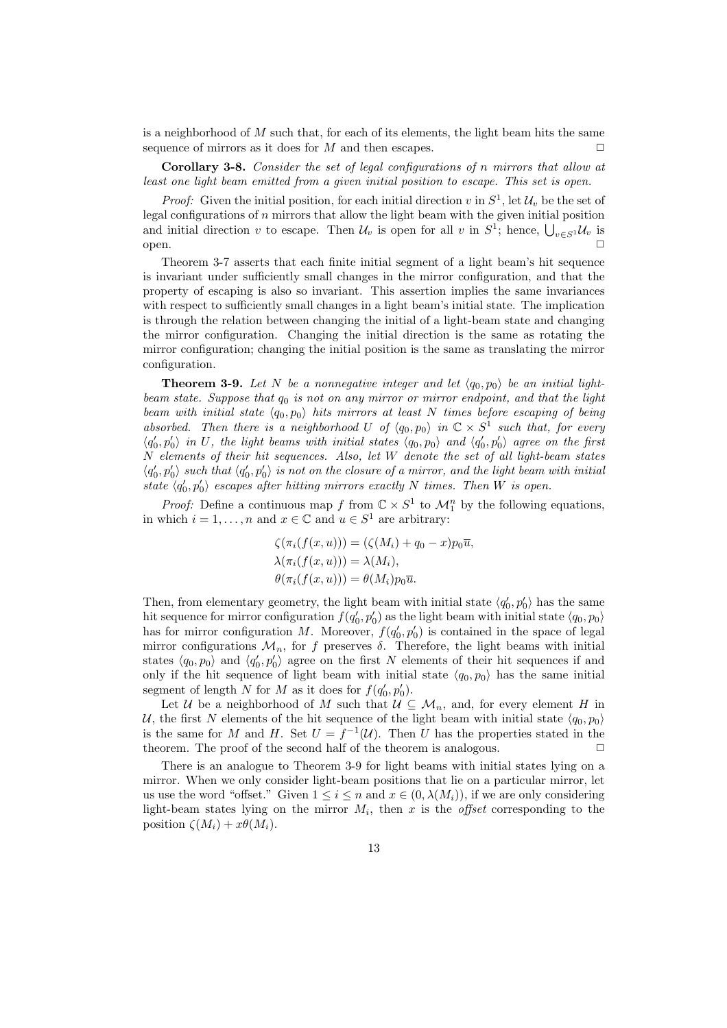is a neighborhood of  $M$  such that, for each of its elements, the light beam hits the same sequence of mirrors as it does for M and then escapes.  $\Box$ 

Corollary 3-8. Consider the set of legal configurations of n mirrors that allow at least one light beam emitted from a given initial position to escape. This set is open.

*Proof:* Given the initial position, for each initial direction v in  $S^1$ , let  $\mathcal{U}_v$  be the set of legal configurations of  $n$  mirrors that allow the light beam with the given initial position degal comigurations of *n* infriors that allow the light beam with the given initial position<br>and initial direction v to escape. Then  $U_v$  is open for all v in  $S^1$ ; hence,  $\bigcup_{v\in S^1} U_v$  is open.  $\Box$ 

Theorem 3-7 asserts that each finite initial segment of a light beam's hit sequence is invariant under sufficiently small changes in the mirror configuration, and that the property of escaping is also so invariant. This assertion implies the same invariances with respect to sufficiently small changes in a light beam's initial state. The implication is through the relation between changing the initial of a light-beam state and changing the mirror configuration. Changing the initial direction is the same as rotating the mirror configuration; changing the initial position is the same as translating the mirror configuration.

**Theorem 3-9.** Let N be a nonnegative integer and let  $\langle q_0, p_0 \rangle$  be an initial lightbeam state. Suppose that  $q_0$  is not on any mirror or mirror endpoint, and that the light beam with initial state  $\langle q_0, p_0 \rangle$  hits mirrors at least N times before escaping of being absorbed. Then there is a neighborhood U of  $\langle q_0, p_0 \rangle$  in  $\mathbb{C} \times S^1$  such that, for every  $\langle q'_0, p'_0 \rangle$  in U, the light beams with initial states  $\langle q_0, p_0 \rangle$  and  $\langle q'_0, p'_0 \rangle$  agree on the first N elements of their hit sequences. Also, let W denote the set of all light-beam states  $\langle q'_0, p'_0 \rangle$  such that  $\langle q'_0, p'_0 \rangle$  is not on the closure of a mirror, and the light beam with initial state  $\langle q'_0, p'_0 \rangle$  escapes after hitting mirrors exactly N times. Then W is open.

*Proof:* Define a continuous map f from  $\mathbb{C} \times S^1$  to  $\mathcal{M}_1^n$  by the following equations, in which  $i = 1, ..., n$  and  $x \in \mathbb{C}$  and  $u \in S^1$  are arbitrary:

$$
\zeta(\pi_i(f(x, u))) = (\zeta(M_i) + q_0 - x)p_0\overline{u},
$$
  
\n
$$
\lambda(\pi_i(f(x, u))) = \lambda(M_i),
$$
  
\n
$$
\theta(\pi_i(f(x, u))) = \theta(M_i)p_0\overline{u}.
$$

Then, from elementary geometry, the light beam with initial state  $\langle q'_0, p'_0 \rangle$  has the same hit sequence for mirror configuration  $f(q'_0, p'_0)$  as the light beam with initial state  $\langle q_0, p_0 \rangle$ has for mirror configuration M. Moreover,  $f(q'_0, p'_0)$  is contained in the space of legal mirror configurations  $\mathcal{M}_n$ , for f preserves  $\delta$ . Therefore, the light beams with initial states  $\langle q_0, p_0 \rangle$  and  $\langle q'_0, p'_0 \rangle$  agree on the first N elements of their hit sequences if and only if the hit sequence of light beam with initial state  $\langle q_0, p_0 \rangle$  has the same initial segment of length N for M as it does for  $f(q'_0, p'_0)$ .

Let U be a neighborhood of M such that  $\mathcal{U} \subseteq \mathcal{M}_n$ , and, for every element H in U, the first N elements of the hit sequence of the light beam with initial state  $\langle q_0, p_0 \rangle$ is the same for M and H. Set  $U = f^{-1}(\mathcal{U})$ . Then U has the properties stated in the theorem. The proof of the second half of the theorem is analogous.  $\Box$ 

There is an analogue to Theorem 3-9 for light beams with initial states lying on a mirror. When we only consider light-beam positions that lie on a particular mirror, let us use the word "offset." Given  $1 \leq i \leq n$  and  $x \in (0, \lambda(M_i))$ , if we are only considering light-beam states lying on the mirror  $M_i$ , then x is the *offset* corresponding to the position  $\zeta(M_i) + x\theta(M_i)$ .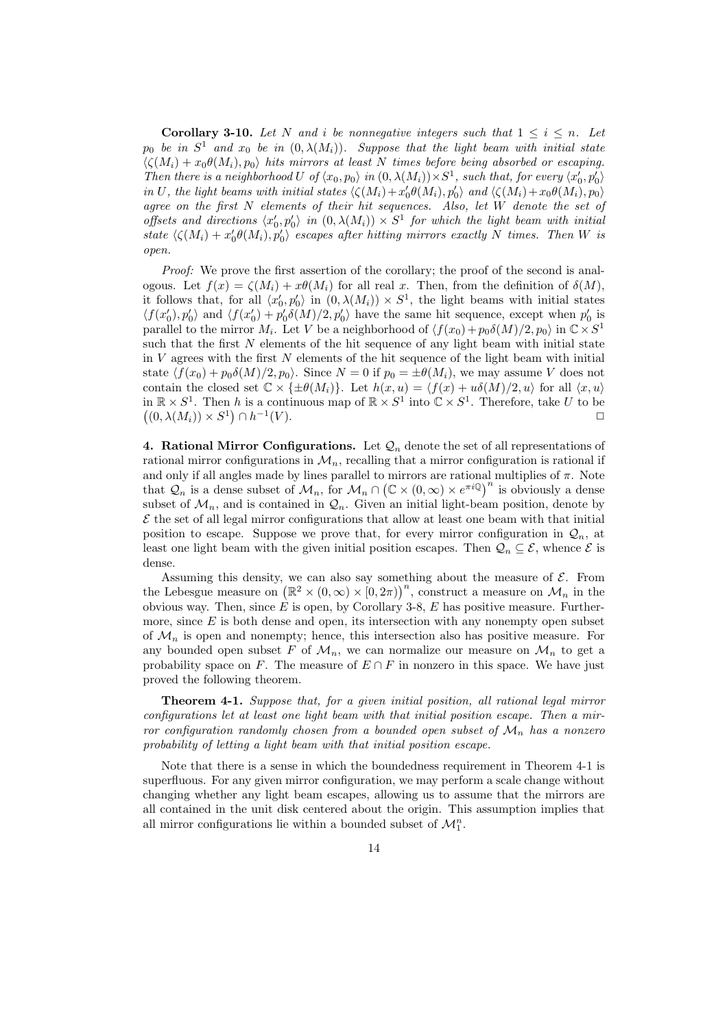**Corollary 3-10.** Let N and i be nonnegative integers such that  $1 \leq i \leq n$ . Let  $p_0$  be in  $S^1$  and  $x_0$  be in  $(0, \lambda(M_i))$ . Suppose that the light beam with initial state  $\langle \zeta(M_i) + x_0 \theta(M_i), p_0 \rangle$  hits mirrors at least N times before being absorbed or escaping. Then there is a neighborhood U of  $\langle x_0, p_0 \rangle$  in  $(0, \lambda(M_i)) \times S^1$ , such that, for every  $\langle x'_0, p'_0 \rangle$ in U, the light beams with initial states  $\langle \zeta(M_i)+x_0'\theta(M_i), p_0'\rangle$  and  $\langle \zeta(M_i)+x_0\theta(M_i), p_0\rangle$ agree on the first N elements of their hit sequences. Also, let W denote the set of offsets and directions  $\langle x'_0, p'_0 \rangle$  in  $(0, \lambda(M_i)) \times S^1$  for which the light beam with initial state  $\langle \zeta(M_i) + x'_0 \theta(M_i), p'_0 \rangle$  escapes after hitting mirrors exactly N times. Then W is open.

Proof: We prove the first assertion of the corollary; the proof of the second is analogous. Let  $f(x) = \zeta(M_i) + x\theta(M_i)$  for all real x. Then, from the definition of  $\delta(M)$ , it follows that, for all  $\langle x'_0, p'_0 \rangle$  in  $(0, \lambda(M_i)) \times S^1$ , the light beams with initial states  $\langle f(x_0), p_0'\rangle$  and  $\langle f(x_0') + p_0' \delta(M)/2, p_0'\rangle$  have the same hit sequence, except when  $p_0'$  is parallel to the mirror  $M_i$ . Let V be a neighborhood of  $\langle f(x_0) + p_0 \delta(M)/2, p_0 \rangle$  in  $\mathbb{C} \times S^1$ such that the first  $N$  elements of the hit sequence of any light beam with initial state in  $V$  agrees with the first  $N$  elements of the hit sequence of the light beam with initial state  $\langle f(x_0) + p_0 \delta(M)/2, p_0 \rangle$ . Since  $N = 0$  if  $p_0 = \pm \theta(M_i)$ , we may assume V does not contain the closed set  $\mathbb{C} \times {\{\pm \theta(M_i)\}}$ . Let  $h(x, u) = \langle f(x) + u\delta(M)/2, u \rangle$  for all  $\langle x, u \rangle$ in  $\mathbb{R} \times S^1$ . Then h is a continuous map of  $\mathbb{R} \times S^1$  into  $\mathbb{C} \times S^1$ . Therefore, take U to be  $(0, \lambda(M_i)) \times S^1) \cap h^{-1}$  $(V)$ .

4. Rational Mirror Configurations. Let  $\mathcal{Q}_n$  denote the set of all representations of rational mirror configurations in  $\mathcal{M}_n$ , recalling that a mirror configuration is rational if and only if all angles made by lines parallel to mirrors are rational multiplies of  $\pi$ . Note that  $\mathcal{Q}_n$  is a dense subset of  $\mathcal{M}_n$ , for  $\mathcal{M}_n \cap (\mathbb{C} \times (0, \infty) \times e^{\pi i \mathbb{Q}})^n$  is obviously a dense subset of  $\mathcal{M}_n$ , and is contained in  $\mathcal{Q}_n$ . Given an initial light-beam position, denote by  $\mathcal E$  the set of all legal mirror configurations that allow at least one beam with that initial position to escape. Suppose we prove that, for every mirror configuration in  $\mathcal{Q}_n$ , at least one light beam with the given initial position escapes. Then  $\mathcal{Q}_n \subseteq \mathcal{E}$ , whence  $\mathcal{E}$  is dense.

Assuming this density, we can also say something about the measure of  $\mathcal{E}$ . From Assuming this density, we can also say something about the measure of  $\varepsilon$ . From<br>the Lebesgue measure on  $(\mathbb{R}^2 \times (0, \infty) \times (0, 2\pi))^n$ , construct a measure on  $\mathcal{M}_n$  in the obvious way. Then, since  $\vec{E}$  is open, by Corollary 3-8, E has positive measure. Furthermore, since  $E$  is both dense and open, its intersection with any nonempty open subset of  $\mathcal{M}_n$  is open and nonempty; hence, this intersection also has positive measure. For any bounded open subset F of  $\mathcal{M}_n$ , we can normalize our measure on  $\mathcal{M}_n$  to get a probability space on F. The measure of  $E \cap F$  in nonzero in this space. We have just proved the following theorem.

Theorem 4-1. Suppose that, for a given initial position, all rational legal mirror configurations let at least one light beam with that initial position escape. Then a mirror configuration randomly chosen from a bounded open subset of  $\mathcal{M}_n$  has a nonzero probability of letting a light beam with that initial position escape.

Note that there is a sense in which the boundedness requirement in Theorem 4-1 is superfluous. For any given mirror configuration, we may perform a scale change without changing whether any light beam escapes, allowing us to assume that the mirrors are all contained in the unit disk centered about the origin. This assumption implies that all mirror configurations lie within a bounded subset of  $\mathcal{M}_1^n$ .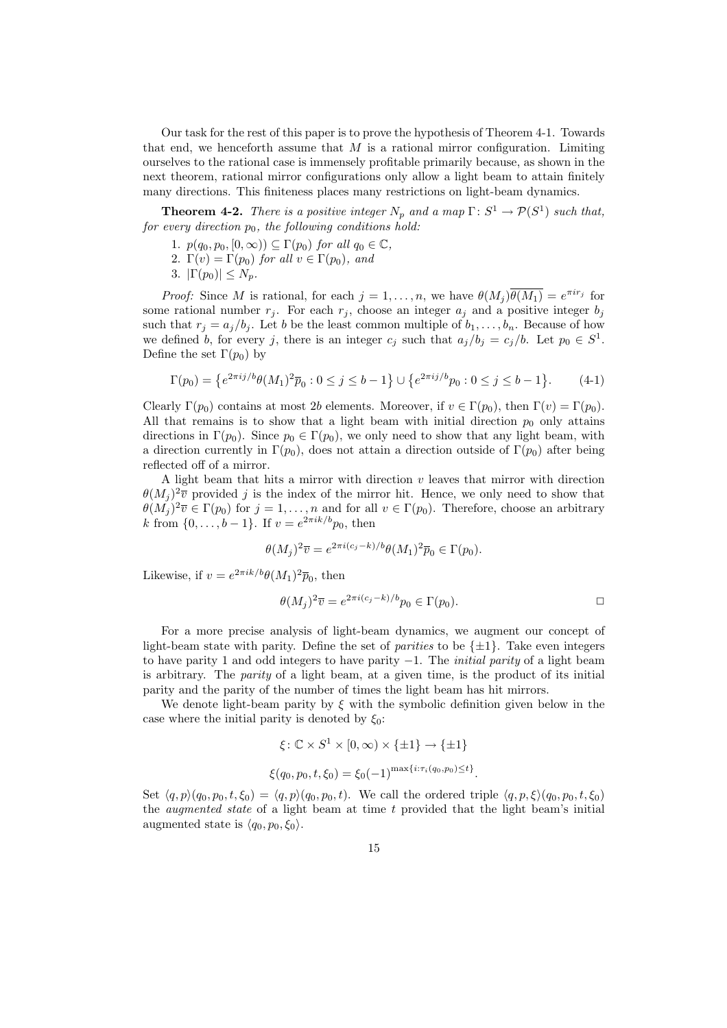Our task for the rest of this paper is to prove the hypothesis of Theorem 4-1. Towards that end, we henceforth assume that  $M$  is a rational mirror configuration. Limiting ourselves to the rational case is immensely profitable primarily because, as shown in the next theorem, rational mirror configurations only allow a light beam to attain finitely many directions. This finiteness places many restrictions on light-beam dynamics.

**Theorem 4-2.** There is a positive integer  $N_p$  and a map  $\Gamma: S^1 \to \mathcal{P}(S^1)$  such that, for every direction  $p_0$ , the following conditions hold:

- 1.  $p(q_0, p_0, [0, \infty)) \subseteq \Gamma(p_0)$  for all  $q_0 \in \mathbb{C}$ ,
- 2.  $\Gamma(v) = \Gamma(p_0)$  for all  $v \in \Gamma(p_0)$ , and
- 3.  $|\Gamma(p_0)| \leq N_p$ .

*Proof:* Since M is rational, for each  $j = 1, ..., n$ , we have  $\theta(M_j)\overline{\theta(M_1)} = e^{\pi i r_j}$  for some rational number  $r_j$ . For each  $r_j$ , choose an integer  $a_j$  and a positive integer  $b_j$ such that  $r_i = a_i/b_i$ . Let b be the least common multiple of  $b_1, \ldots, b_n$ . Because of how we defined b, for every j, there is an integer  $c_j$  such that  $a_j/b_j = c_j/b$ . Let  $p_0 \in S^1$ . Define the set  $\Gamma(p_0)$  by

$$
\Gamma(p_0) = \left\{ e^{2\pi i j/b} \theta(M_1)^2 \overline{p}_0 : 0 \le j \le b - 1 \right\} \cup \left\{ e^{2\pi i j/b} p_0 : 0 \le j \le b - 1 \right\}.
$$
 (4-1)

Clearly  $\Gamma(p_0)$  contains at most 2b elements. Moreover, if  $v \in \Gamma(p_0)$ , then  $\Gamma(v) = \Gamma(p_0)$ . All that remains is to show that a light beam with initial direction  $p_0$  only attains directions in  $\Gamma(p_0)$ . Since  $p_0 \in \Gamma(p_0)$ , we only need to show that any light beam, with a direction currently in  $\Gamma(p_0)$ , does not attain a direction outside of  $\Gamma(p_0)$  after being reflected off of a mirror.

A light beam that hits a mirror with direction  $v$  leaves that mirror with direction  $\theta(M_j)^2\overline{v}$  provided j is the index of the mirror hit. Hence, we only need to show that  $\theta(M_j)^2\overline{v} \in \Gamma(p_0)$  for  $j=1,\ldots,n$  and for all  $v \in \Gamma(p_0)$ . Therefore, choose an arbitrary k from  $\{0, ..., b-1\}$ . If  $v = e^{2\pi i k/b} p_0$ , then

$$
\theta(M_j)^2 \overline{v} = e^{2\pi i (c_j - k)/b} \theta(M_1)^2 \overline{p}_0 \in \Gamma(p_0).
$$

Likewise, if  $v = e^{2\pi i k/b} \theta(M_1)^2 \overline{p}_0$ , then

$$
\theta(M_j)^2 \overline{v} = e^{2\pi i (c_j - k)/b} p_0 \in \Gamma(p_0).
$$

For a more precise analysis of light-beam dynamics, we augment our concept of light-beam state with parity. Define the set of *parities* to be  $\{\pm 1\}$ . Take even integers to have parity 1 and odd integers to have parity  $-1$ . The *initial parity* of a light beam is arbitrary. The parity of a light beam, at a given time, is the product of its initial parity and the parity of the number of times the light beam has hit mirrors.

We denote light-beam parity by  $\xi$  with the symbolic definition given below in the case where the initial parity is denoted by  $\xi_0$ :

$$
\xi: \mathbb{C} \times S^1 \times [0, \infty) \times \{\pm 1\} \to \{\pm 1\}
$$
  

$$
\xi(q_0, p_0, t, \xi_0) = \xi_0 (-1)^{\max\{i: \tau_i(q_0, p_0) \le t\}}.
$$

Set  $\langle q, p \rangle (q_0, p_0, t, \xi_0) = \langle q, p \rangle (q_0, p_0, t)$ . We call the ordered triple  $\langle q, p, \xi \rangle (q_0, p_0, t, \xi_0)$ the *augmented state* of a light beam at time  $t$  provided that the light beam's initial augmented state is  $\langle q_0, p_0, \xi_0 \rangle$ .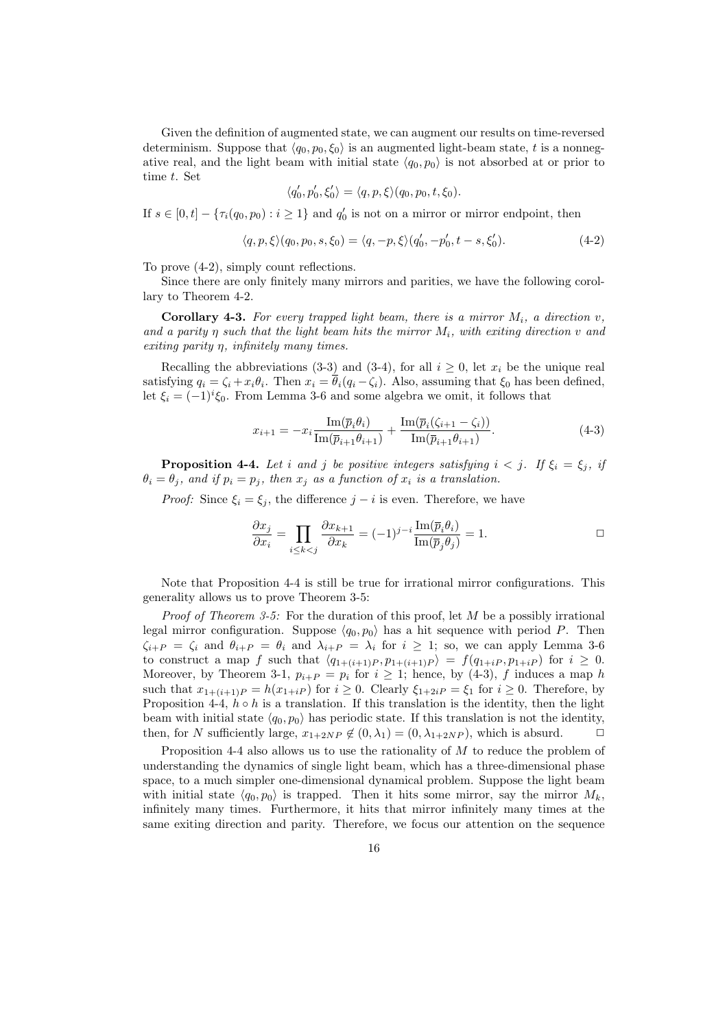Given the definition of augmented state, we can augment our results on time-reversed determinism. Suppose that  $\langle q_0, p_0, \xi_0 \rangle$  is an augmented light-beam state, t is a nonnegative real, and the light beam with initial state  $\langle q_0, p_0 \rangle$  is not absorbed at or prior to time t. Set

$$
\langle q'_0, p'_0, \xi'_0 \rangle = \langle q, p, \xi \rangle (q_0, p_0, t, \xi_0).
$$

If  $s \in [0, t] - \{\tau_i(q_0, p_0) : i \geq 1\}$  and  $q'_0$  is not on a mirror or mirror endpoint, then

$$
\langle q, p, \xi \rangle (q_0, p_0, s, \xi_0) = \langle q, -p, \xi \rangle (q'_0, -p'_0, t - s, \xi'_0). \tag{4-2}
$$

To prove (4-2), simply count reflections.

Since there are only finitely many mirrors and parities, we have the following corollary to Theorem 4-2.

**Corollary 4-3.** For every trapped light beam, there is a mirror  $M_i$ , a direction v, and a parity  $\eta$  such that the light beam hits the mirror  $M_i$ , with exiting direction v and exiting parity η, infinitely many times.

Recalling the abbreviations (3-3) and (3-4), for all  $i \geq 0$ , let  $x_i$  be the unique real satisfying  $q_i = \zeta_i + x_i \theta_i$ . Then  $x_i = \overline{\theta}_i (q_i - \zeta_i)$ . Also, assuming that  $\xi_0$  has been defined, let  $\xi_i = (-1)^i \xi_0$ . From Lemma 3-6 and some algebra we omit, it follows that

$$
x_{i+1} = -x_i \frac{\text{Im}(\overline{p}_i \theta_i)}{\text{Im}(\overline{p}_{i+1} \theta_{i+1})} + \frac{\text{Im}(\overline{p}_i(\zeta_{i+1} - \zeta_i))}{\text{Im}(\overline{p}_{i+1} \theta_{i+1})}.
$$
(4-3)

**Proposition 4-4.** Let i and j be positive integers satisfying  $i < j$ . If  $\xi_i = \xi_j$ , if  $\theta_i = \theta_j$ , and if  $p_i = p_j$ , then  $x_j$  as a function of  $x_i$  is a translation.

*Proof:* Since  $\xi_i = \xi_j$ , the difference  $j - i$  is even. Therefore, we have

$$
\frac{\partial x_j}{\partial x_i} = \prod_{i \le k < j} \frac{\partial x_{k+1}}{\partial x_k} = (-1)^{j-i} \frac{\operatorname{Im}(\overline{p}_i \theta_i)}{\operatorname{Im}(\overline{p}_j \theta_j)} = 1. \tag{}
$$

Note that Proposition 4-4 is still be true for irrational mirror configurations. This generality allows us to prove Theorem 3-5:

*Proof of Theorem 3-5:* For the duration of this proof, let  $M$  be a possibly irrational legal mirror configuration. Suppose  $\langle q_0, p_0 \rangle$  has a hit sequence with period P. Then  $\zeta_{i+P} = \zeta_i$  and  $\theta_{i+P} = \theta_i$  and  $\lambda_{i+P} = \lambda_i$  for  $i \geq 1$ ; so, we can apply Lemma 3-6 to construct a map f such that  $\langle q_{1+(i+1)P}, p_{1+(i+1)P} \rangle = f(q_{1+iP}, p_{1+iP})$  for  $i \geq 0$ . Moreover, by Theorem 3-1,  $p_{i+P} = p_i$  for  $i \geq 1$ ; hence, by (4-3), f induces a map h such that  $x_{1+(i+1)P} = h(x_{1+iP})$  for  $i \ge 0$ . Clearly  $\xi_{1+2iP} = \xi_1$  for  $i \ge 0$ . Therefore, by Proposition 4-4,  $h \circ h$  is a translation. If this translation is the identity, then the light beam with initial state  $\langle q_0, p_0 \rangle$  has periodic state. If this translation is not the identity, then, for N sufficiently large,  $x_{1+2NP} \notin (0, \lambda_1) = (0, \lambda_{1+2NP})$ , which is absurd.  $\Box$ 

Proposition 4-4 also allows us to use the rationality of M to reduce the problem of understanding the dynamics of single light beam, which has a three-dimensional phase space, to a much simpler one-dimensional dynamical problem. Suppose the light beam with initial state  $\langle q_0, p_0 \rangle$  is trapped. Then it hits some mirror, say the mirror  $M_k$ , infinitely many times. Furthermore, it hits that mirror infinitely many times at the same exiting direction and parity. Therefore, we focus our attention on the sequence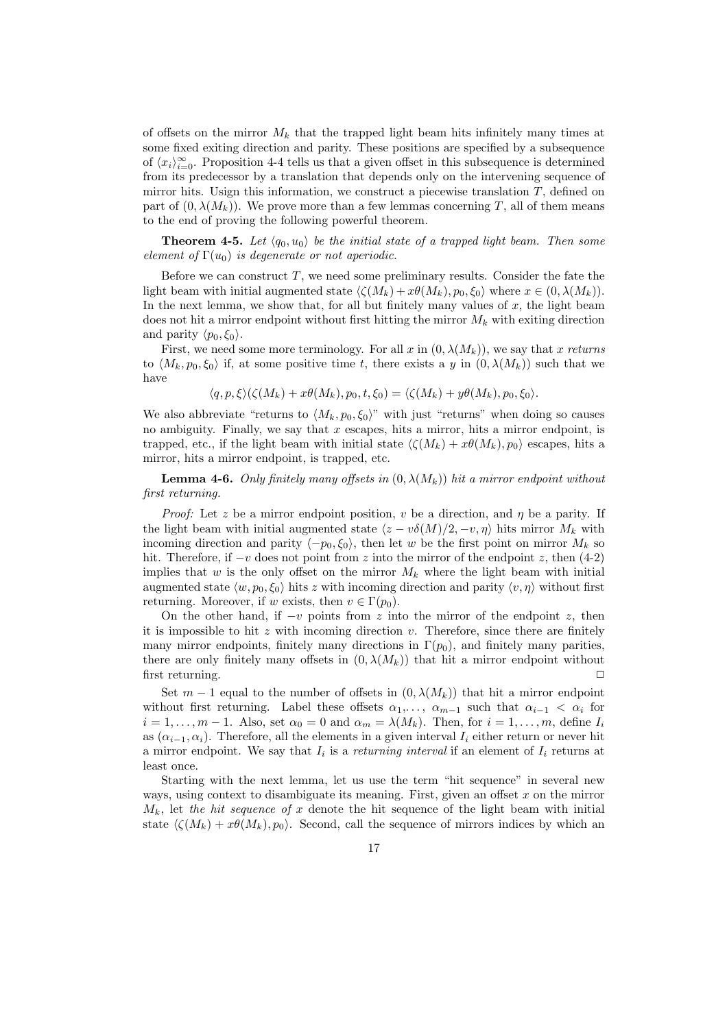of offsets on the mirror  $M_k$  that the trapped light beam hits infinitely many times at some fixed exiting direction and parity. These positions are specified by a subsequence of  $\langle x_i \rangle_{i=0}^{\infty}$ . Proposition 4-4 tells us that a given offset in this subsequence is determined from its predecessor by a translation that depends only on the intervening sequence of mirror hits. Usign this information, we construct a piecewise translation  $T$ , defined on part of  $(0, \lambda(M_k))$ . We prove more than a few lemmas concerning T, all of them means to the end of proving the following powerful theorem.

**Theorem 4-5.** Let  $\langle q_0, u_0 \rangle$  be the initial state of a trapped light beam. Then some element of  $\Gamma(u_0)$  is degenerate or not aperiodic.

Before we can construct  $T$ , we need some preliminary results. Consider the fate the light beam with initial augmented state  $\langle \zeta(M_k) + x\theta(M_k), p_0, \xi_0 \rangle$  where  $x \in (0, \lambda(M_k)).$ In the next lemma, we show that, for all but finitely many values of  $x$ , the light beam does not hit a mirror endpoint without first hitting the mirror  $M_k$  with exiting direction and parity  $\langle p_0, \xi_0 \rangle$ .

First, we need some more terminology. For all x in  $(0, \lambda(M_k))$ , we say that x returns to  $\langle M_k, p_0, \xi_0 \rangle$  if, at some positive time t, there exists a y in  $(0, \lambda(M_k))$  such that we have

$$
\langle q, p, \xi \rangle (\zeta(M_k) + x\theta(M_k), p_0, t, \xi_0) = \langle \zeta(M_k) + y\theta(M_k), p_0, \xi_0 \rangle.
$$

We also abbreviate "returns to  $\langle M_k, p_0, \xi_0 \rangle$ " with just "returns" when doing so causes no ambiguity. Finally, we say that  $x$  escapes, hits a mirror, hits a mirror endpoint, is trapped, etc., if the light beam with initial state  $\langle \zeta(M_k) + x\theta(M_k), p_0 \rangle$  escapes, hits a mirror, hits a mirror endpoint, is trapped, etc.

**Lemma 4-6.** Only finitely many offsets in  $(0, \lambda(M_k))$  hit a mirror endpoint without first returning.

*Proof:* Let z be a mirror endpoint position, v be a direction, and  $\eta$  be a parity. If the light beam with initial augmented state  $\langle z - v\delta(M)/2, -v, \eta \rangle$  hits mirror  $M_k$  with incoming direction and parity  $\langle -p_0, \xi_0 \rangle$ , then let w be the first point on mirror  $M_k$  so hit. Therefore, if  $-v$  does not point from z into the mirror of the endpoint z, then (4-2) implies that w is the only offset on the mirror  $M_k$  where the light beam with initial augmented state  $\langle w, p_0, \xi_0 \rangle$  hits z with incoming direction and parity  $\langle v, \eta \rangle$  without first returning. Moreover, if w exists, then  $v \in \Gamma(p_0)$ .

On the other hand, if  $-v$  points from z into the mirror of the endpoint z, then it is impossible to hit  $z$  with incoming direction  $v$ . Therefore, since there are finitely many mirror endpoints, finitely many directions in  $\Gamma(p_0)$ , and finitely many parities, there are only finitely many offsets in  $(0, \lambda(M_k))$  that hit a mirror endpoint without first returning.  $\Box$ 

Set  $m-1$  equal to the number of offsets in  $(0, \lambda(M_k))$  that hit a mirror endpoint without first returning. Label these offsets  $\alpha_1, \ldots, \alpha_{m-1}$  such that  $\alpha_{i-1} < \alpha_i$  for  $i = 1, \ldots, m - 1$ . Also, set  $\alpha_0 = 0$  and  $\alpha_m = \lambda(M_k)$ . Then, for  $i = 1, \ldots, m$ , define  $I_i$ as  $(\alpha_{i-1}, \alpha_i)$ . Therefore, all the elements in a given interval  $I_i$  either return or never hit a mirror endpoint. We say that  $I_i$  is a returning interval if an element of  $I_i$  returns at least once.

Starting with the next lemma, let us use the term "hit sequence" in several new ways, using context to disambiguate its meaning. First, given an offset  $x$  on the mirror  $M_k$ , let the hit sequence of x denote the hit sequence of the light beam with initial state  $\langle \zeta(M_k) + x\theta(M_k), p_0 \rangle$ . Second, call the sequence of mirrors indices by which an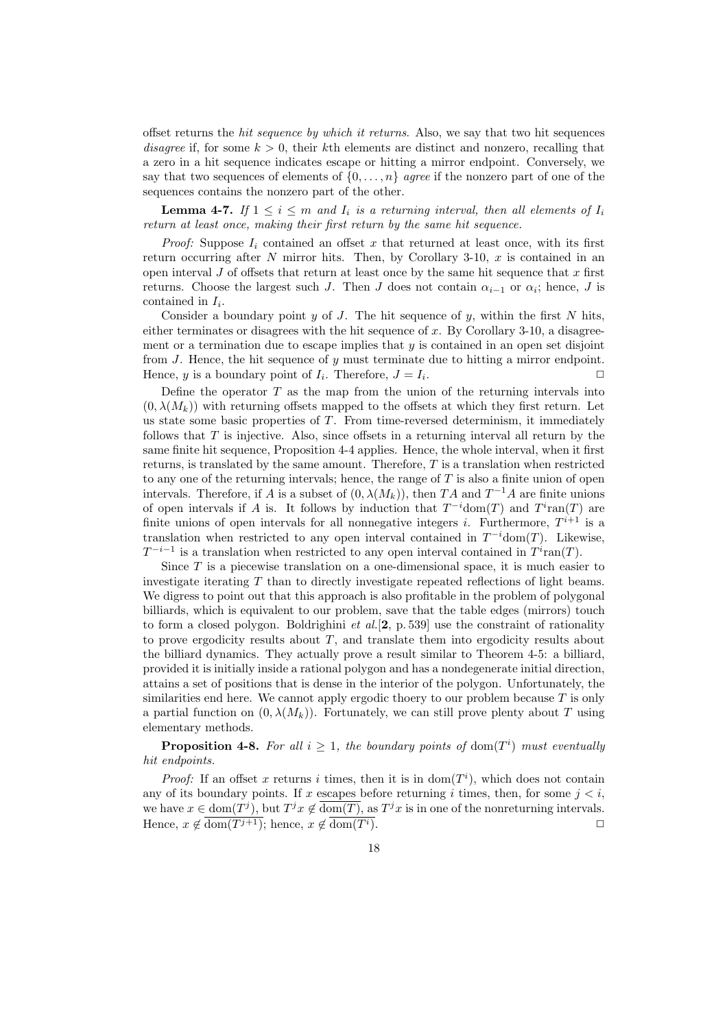offset returns the hit sequence by which it returns. Also, we say that two hit sequences disagree if, for some  $k > 0$ , their kth elements are distinct and nonzero, recalling that a zero in a hit sequence indicates escape or hitting a mirror endpoint. Conversely, we say that two sequences of elements of  $\{0, \ldots, n\}$  agree if the nonzero part of one of the sequences contains the nonzero part of the other.

**Lemma 4-7.** If  $1 \leq i \leq m$  and  $I_i$  is a returning interval, then all elements of  $I_i$ return at least once, making their first return by the same hit sequence.

*Proof:* Suppose  $I_i$  contained an offset x that returned at least once, with its first return occurring after  $N$  mirror hits. Then, by Corollary 3-10,  $x$  is contained in an open interval  $J$  of offsets that return at least once by the same hit sequence that  $x$  first returns. Choose the largest such J. Then J does not contain  $\alpha_{i-1}$  or  $\alpha_i$ ; hence, J is contained in  $I_i$ .

Consider a boundary point  $y$  of  $J$ . The hit sequence of  $y$ , within the first  $N$  hits, either terminates or disagrees with the hit sequence of  $x$ . By Corollary 3-10, a disagreement or a termination due to escape implies that  $y$  is contained in an open set disjoint from  $J$ . Hence, the hit sequence of  $y$  must terminate due to hitting a mirror endpoint. Hence, y is a boundary point of  $I_i$ . Therefore,  $J = I_i$ . The contract of  $\Box$ 

Define the operator  $T$  as the map from the union of the returning intervals into  $(0, \lambda(M_k))$  with returning offsets mapped to the offsets at which they first return. Let us state some basic properties of  $T$ . From time-reversed determinism, it immediately follows that  $T$  is injective. Also, since offsets in a returning interval all return by the same finite hit sequence, Proposition 4-4 applies. Hence, the whole interval, when it first returns, is translated by the same amount. Therefore, T is a translation when restricted to any one of the returning intervals; hence, the range of T is also a finite union of open intervals. Therefore, if A is a subset of  $(0, \lambda(M_k))$ , then TA and  $T^{-1}A$  are finite unions of open intervals if A is. It follows by induction that  $T^{-i}$ dom $(T)$  and  $T^{i}$ ran $(T)$  are finite unions of open intervals for all nonnegative integers *i*. Furthermore,  $T^{i+1}$  is a translation when restricted to any open interval contained in  $T^{-i}$ dom $(T)$ . Likewise,  $T^{-i-1}$  is a translation when restricted to any open interval contained in  $T^i$ ran(T).

Since  $T$  is a piecewise translation on a one-dimensional space, it is much easier to investigate iterating T than to directly investigate repeated reflections of light beams. We digress to point out that this approach is also profitable in the problem of polygonal billiards, which is equivalent to our problem, save that the table edges (mirrors) touch to form a closed polygon. Boldrighini *et al.*[2, p. 539] use the constraint of rationality to prove ergodicity results about T, and translate them into ergodicity results about the billiard dynamics. They actually prove a result similar to Theorem 4-5: a billiard, provided it is initially inside a rational polygon and has a nondegenerate initial direction, attains a set of positions that is dense in the interior of the polygon. Unfortunately, the similarities end here. We cannot apply ergodic thoery to our problem because  $T$  is only a partial function on  $(0, \lambda(M_k))$ . Fortunately, we can still prove plenty about T using elementary methods.

**Proposition 4-8.** For all  $i \geq 1$ , the boundary points of dom( $T<sup>i</sup>$ ) must eventually hit endpoints.

*Proof:* If an offset x returns i times, then it is in  $dom(T<sup>i</sup>)$ , which does not contain any of its boundary points. If x escapes before returning i times, then, for some  $j < i$ , we have  $x \in \text{dom}(T^j)$ , but  $T^j x \notin \overline{\text{dom}(T)}$ , as  $T^j x$  is in one of the nonreturning intervals. Hence,  $x \notin \overline{\text{dom}(T^{j+1})}$ ; hence,  $x \notin \overline{\text{dom}(T^{i})}$ .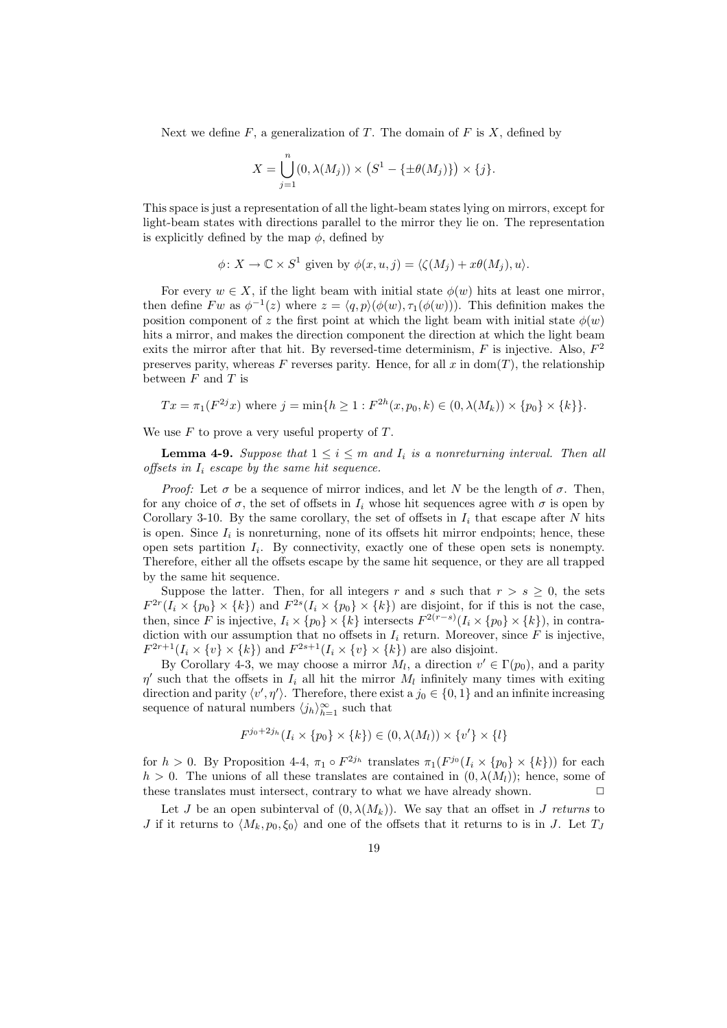Next we define  $F$ , a generalization of  $T$ . The domain of  $F$  is  $X$ , defined by

$$
X = \bigcup_{j=1}^{n} (0, \lambda(M_j)) \times (S^1 - \{\pm \theta(M_j)\}) \times \{j\}.
$$

This space is just a representation of all the light-beam states lying on mirrors, except for light-beam states with directions parallel to the mirror they lie on. The representation is explicitly defined by the map  $\phi$ , defined by

$$
\phi \colon X \to \mathbb{C} \times S^1 \text{ given by } \phi(x, u, j) = \langle \zeta(M_j) + x\theta(M_j), u \rangle.
$$

For every  $w \in X$ , if the light beam with initial state  $\phi(w)$  hits at least one mirror. then define  $Fw$  as  $\phi^{-1}(z)$  where  $z = \langle q, p \rangle (\phi(w), \tau_1(\phi(w)))$ . This definition makes the position component of z the first point at which the light beam with initial state  $\phi(w)$ hits a mirror, and makes the direction component the direction at which the light beam exits the mirror after that hit. By reversed-time determinism,  $F$  is injective. Also,  $F^2$ preserves parity, whereas F reverses parity. Hence, for all  $x$  in dom(T), the relationship between  $F$  and  $T$  is

$$
Tx = \pi_1(F^{2j}x)
$$
 where  $j = \min\{h \ge 1 : F^{2h}(x, p_0, k) \in (0, \lambda(M_k)) \times \{p_0\} \times \{k\} \}.$ 

We use  $F$  to prove a very useful property of  $T$ .

**Lemma 4-9.** Suppose that  $1 \leq i \leq m$  and  $I_i$  is a nonreturning interval. Then all offsets in  $I_i$  escape by the same hit sequence.

*Proof:* Let  $\sigma$  be a sequence of mirror indices, and let N be the length of  $\sigma$ . Then, for any choice of  $\sigma$ , the set of offsets in  $I_i$  whose hit sequences agree with  $\sigma$  is open by Corollary 3-10. By the same corollary, the set of offsets in  $I_i$  that escape after N hits is open. Since  $I_i$  is nonreturning, none of its offsets hit mirror endpoints; hence, these open sets partition  $I_i$ . By connectivity, exactly one of these open sets is nonempty. Therefore, either all the offsets escape by the same hit sequence, or they are all trapped by the same hit sequence.

Suppose the latter. Then, for all integers r and s such that  $r > s \geq 0$ , the sets  $F^{2r}(I_i \times \{p_0\} \times \{k\})$  and  $F^{2s}(I_i \times \{p_0\} \times \{k\})$  are disjoint, for if this is not the case, then, since F is injective,  $I_i \times \{p_0\} \times \{k\}$  intersects  $F^{2(r-s)}(I_i \times \{p_0\} \times \{k\})$ , in contradiction with our assumption that no offsets in  $I_i$  return. Moreover, since  $\tilde{F}$  is injective,  $F^{2r+1}(I_i \times \{v\} \times \{k\})$  and  $F^{2s+1}(I_i \times \{v\} \times \{k\})$  are also disjoint.

By Corollary 4-3, we may choose a mirror  $M_l$ , a direction  $v' \in \Gamma(p_0)$ , and a parity  $\eta'$  such that the offsets in  $I_i$  all hit the mirror  $M_l$  infinitely many times with exiting direction and parity  $\langle v', \eta' \rangle$ . Therefore, there exist a  $j_0 \in \{0, 1\}$  and an infinite increasing sequence of natural numbers  $\langle j_h \rangle_{h=1}^{\infty}$  such that

$$
F^{j_0+2j_h}(I_i \times \{p_0\} \times \{k\}) \in (0, \lambda(M_l)) \times \{v'\} \times \{l\}
$$

for  $h > 0$ . By Proposition 4-4,  $\pi_1 \circ F^{2j_h}$  translates  $\pi_1(F^{j_0}(I_i \times \{p_0\} \times \{k\}))$  for each  $h > 0$ . The unions of all these translates are contained in  $(0, \lambda(M_l))$ ; hence, some of these translates must intersect, contrary to what we have already shown.  $\Box$ 

Let J be an open subinterval of  $(0, \lambda(M_k))$ . We say that an offset in J returns to J if it returns to  $\langle M_k, p_0, \xi_0 \rangle$  and one of the offsets that it returns to is in J. Let  $T_J$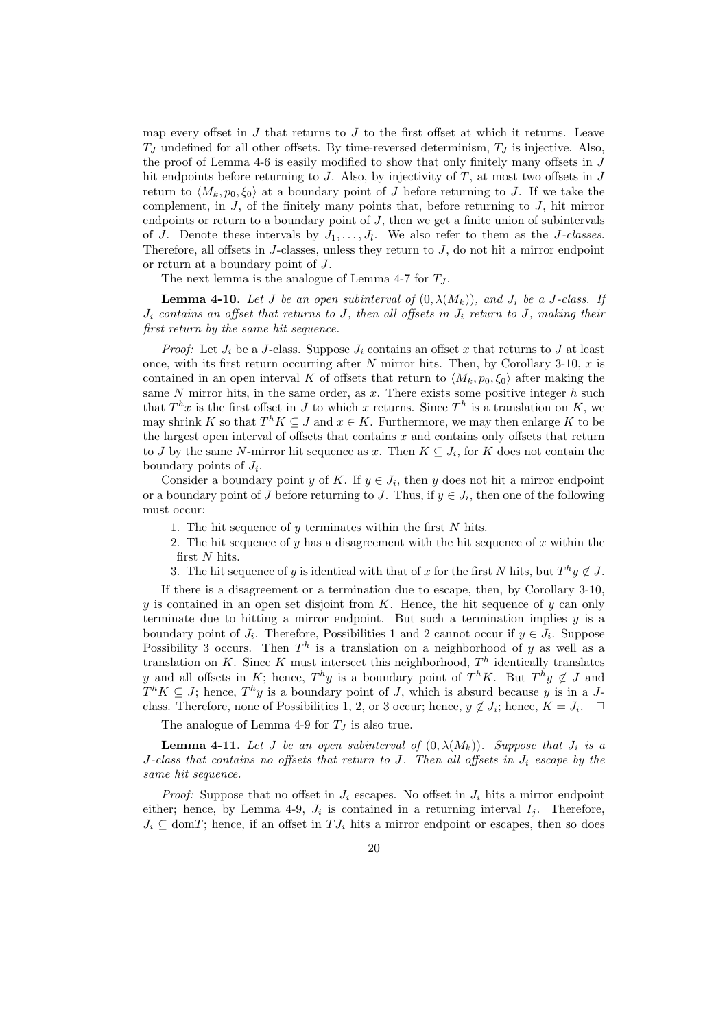map every offset in  $J$  that returns to  $J$  to the first offset at which it returns. Leave  $T_J$  undefined for all other offsets. By time-reversed determinism,  $T_J$  is injective. Also, the proof of Lemma 4-6 is easily modified to show that only finitely many offsets in J hit endpoints before returning to  $J$ . Also, by injectivity of  $T$ , at most two offsets in  $J$ return to  $\langle M_k, p_0, \xi_0 \rangle$  at a boundary point of J before returning to J. If we take the complement, in  $J$ , of the finitely many points that, before returning to  $J$ , hit mirror endpoints or return to a boundary point of  $J$ , then we get a finite union of subintervals of J. Denote these intervals by  $J_1, \ldots, J_l$ . We also refer to them as the J-classes. Therefore, all offsets in  $J$ -classes, unless they return to  $J$ , do not hit a mirror endpoint or return at a boundary point of J.

The next lemma is the analogue of Lemma 4-7 for  $T_J$ .

**Lemma 4-10.** Let J be an open subinterval of  $(0, \lambda(M_k))$ , and  $J_i$  be a J-class. If  $J_i$  contains an offset that returns to J, then all offsets in  $J_i$  return to J, making their first return by the same hit sequence.

*Proof:* Let  $J_i$  be a J-class. Suppose  $J_i$  contains an offset x that returns to J at least once, with its first return occurring after  $N$  mirror hits. Then, by Corollary 3-10,  $x$  is contained in an open interval K of offsets that return to  $\langle M_k, p_0, \xi_0 \rangle$  after making the same  $N$  mirror hits, in the same order, as  $x$ . There exists some positive integer  $h$  such that  $T^h x$  is the first offset in J to which x returns. Since  $T^h$  is a translation on K, we may shrink K so that  $T^h K \subseteq J$  and  $x \in K$ . Furthermore, we may then enlarge K to be the largest open interval of offsets that contains  $x$  and contains only offsets that return to J by the same N-mirror hit sequence as x. Then  $K \subseteq J_i$ , for K does not contain the boundary points of  $J_i$ .

Consider a boundary point y of K. If  $y \in J_i$ , then y does not hit a mirror endpoint or a boundary point of J before returning to J. Thus, if  $y \in J_i$ , then one of the following must occur:

- 1. The hit sequence of  $y$  terminates within the first  $N$  hits.
- 2. The hit sequence of  $y$  has a disagreement with the hit sequence of  $x$  within the first N hits.
- 3. The hit sequence of y is identical with that of x for the first N hits, but  $T^h y \notin J$ .

If there is a disagreement or a termination due to escape, then, by Corollary 3-10,  $y$  is contained in an open set disjoint from  $K$ . Hence, the hit sequence of  $y$  can only terminate due to hitting a mirror endpoint. But such a termination implies  $y$  is a boundary point of  $J_i$ . Therefore, Possibilities 1 and 2 cannot occur if  $y \in J_i$ . Suppose Possibility 3 occurs. Then  $T^h$  is a translation on a neighborhood of y as well as a translation on K. Since K must intersect this neighborhood,  $T<sup>h</sup>$  identically translates y and all offsets in K; hence,  $T^h y$  is a boundary point of  $T^h K$ . But  $T^h y \notin J$  and  $T^{h}K \subseteq J$ ; hence,  $T^{h}y$  is a boundary point of J, which is absurd because y is in a Jclass. Therefore, none of Possibilities 1, 2, or 3 occur; hence,  $y \notin J_i$ ; hence,  $K = J_i$ .  $\Box$ 

The analogue of Lemma 4-9 for  $T_J$  is also true.

**Lemma 4-11.** Let J be an open subinterval of  $(0, \lambda(M_k))$ . Suppose that  $J_i$  is a J-class that contains no offsets that return to J. Then all offsets in  $J_i$  escape by the same hit sequence.

*Proof:* Suppose that no offset in  $J_i$  escapes. No offset in  $J_i$  hits a mirror endpoint either; hence, by Lemma 4-9,  $J_i$  is contained in a returning interval  $I_j$ . Therefore,  $J_i \subseteq \text{dom}T$ ; hence, if an offset in  $T J_i$  hits a mirror endpoint or escapes, then so does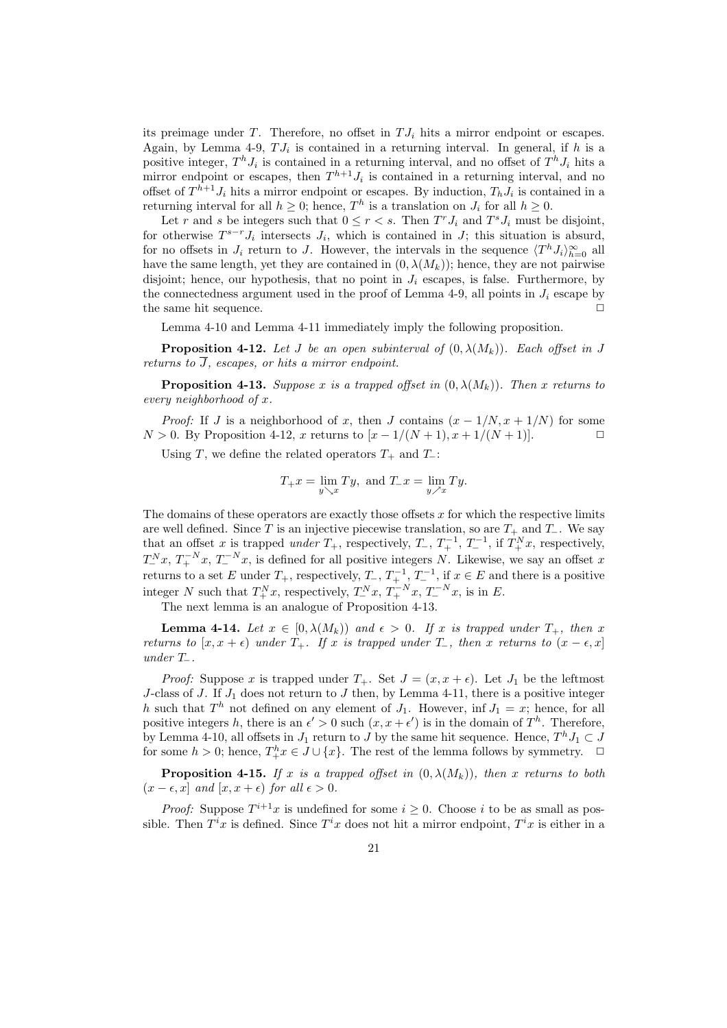its preimage under T. Therefore, no offset in  $TJ_i$  hits a mirror endpoint or escapes. Again, by Lemma 4-9,  $TJ_i$  is contained in a returning interval. In general, if h is a positive integer,  $T^h J_i$  is contained in a returning interval, and no offset of  $T^h J_i$  hits a mirror endpoint or escapes, then  $T^{h+1}J_i$  is contained in a returning interval, and no offset of  $T^{h+1}J_i$  hits a mirror endpoint or escapes. By induction,  $T_hJ_i$  is contained in a returning interval for all  $h \geq 0$ ; hence,  $T^h$  is a translation on  $J_i$  for all  $h \geq 0$ .

Let r and s be integers such that  $0 \le r < s$ . Then  $T^r J_i$  and  $T^s J_i$  must be disjoint, for otherwise  $T^{s-r}J_i$  intersects  $J_i$ , which is contained in  $J$ ; this situation is absurd, for no offsets in  $J_i$  return to J. However, the intervals in the sequence  $\langle T^h J_i \rangle_{h=0}^{\infty}$  all have the same length, yet they are contained in  $(0, \lambda(M_k))$ ; hence, they are not pairwise disjoint; hence, our hypothesis, that no point in  $J_i$  escapes, is false. Furthermore, by the connectedness argument used in the proof of Lemma 4-9, all points in  $J_i$  escape by the same hit sequence.  $\Box$ 

Lemma 4-10 and Lemma 4-11 immediately imply the following proposition.

**Proposition 4-12.** Let J be an open subinterval of  $(0, \lambda(M_k))$ . Each offset in J returns to  $\overline{J}$ , escapes, or hits a mirror endpoint.

**Proposition 4-13.** Suppose x is a trapped offset in  $(0, \lambda(M_k))$ . Then x returns to every neighborhood of x.

*Proof:* If J is a neighborhood of x, then J contains  $(x - 1/N, x + 1/N)$  for some  $N > 0$ . By Proposition 4-12, x returns to  $[x - 1/(N + 1), x + 1/(N + 1)].$  □

Using T, we define the related operators  $T_+$  and  $T_$ :

$$
T_{+}x = \lim_{y \searrow x} Ty, \text{ and } T_{-}x = \lim_{y \nearrow x} Ty.
$$

The domains of these operators are exactly those offsets  $x$  for which the respective limits are well defined. Since T is an injective piecewise translation, so are  $T_+$  and  $T_-\$ . We say that an offset x is trapped under  $T_+$ , respectively,  $T_-, T_+^{-1}, T_-^{-1}$ , if  $T_+^N x$ , respectively,  $T_{-}^{N}x, T_{+}^{-N}x, T_{-}^{-N}x$ , is defined for all positive integers N. Likewise, we say an offset x returns to a set E under  $T_+$ , respectively,  $T_-, T_+^{-1}, T_-^{-1}$ , if  $x \in E$  and there is a positive integer N such that  $T_+^N x$ , respectively,  $T_-^N x$ ,  $T_+^{-N} x$ ,  $T_-^{-N} x$ , is in E.

The next lemma is an analogue of Proposition 4-13.

**Lemma 4-14.** Let  $x \in [0, \lambda(M_k))$  and  $\epsilon > 0$ . If x is trapped under  $T_+$ , then x returns to  $[x, x + \epsilon)$  under  $T_+$ . If x is trapped under  $T_+$ , then x returns to  $(x - \epsilon, x]$  $under T_$ .

*Proof:* Suppose x is trapped under  $T_+$ . Set  $J = (x, x + \epsilon)$ . Let  $J_1$  be the leftmost J-class of J. If  $J_1$  does not return to J then, by Lemma 4-11, there is a positive integer h such that  $T^h$  not defined on any element of  $J_1$ . However, inf  $J_1 = x$ ; hence, for all positive integers h, there is an  $\epsilon' > 0$  such  $(x, x + \epsilon')$  is in the domain of  $T<sup>h</sup>$ . Therefore, by Lemma 4-10, all offsets in  $J_1$  return to  $J$  by the same hit sequence. Hence,  $T^h J_1 \subset J$ for some  $h > 0$ ; hence,  $T_+^h x \in J \cup \{x\}$ . The rest of the lemma follows by symmetry.  $\Box$ 

**Proposition 4-15.** If x is a trapped offset in  $(0, \lambda(M_k))$ , then x returns to both  $(x - \epsilon, x)$  and  $[x, x + \epsilon)$  for all  $\epsilon > 0$ .

*Proof:* Suppose  $T^{i+1}x$  is undefined for some  $i \geq 0$ . Choose i to be as small as possible. Then  $T^i x$  is defined. Since  $T^i x$  does not hit a mirror endpoint,  $T^i x$  is either in a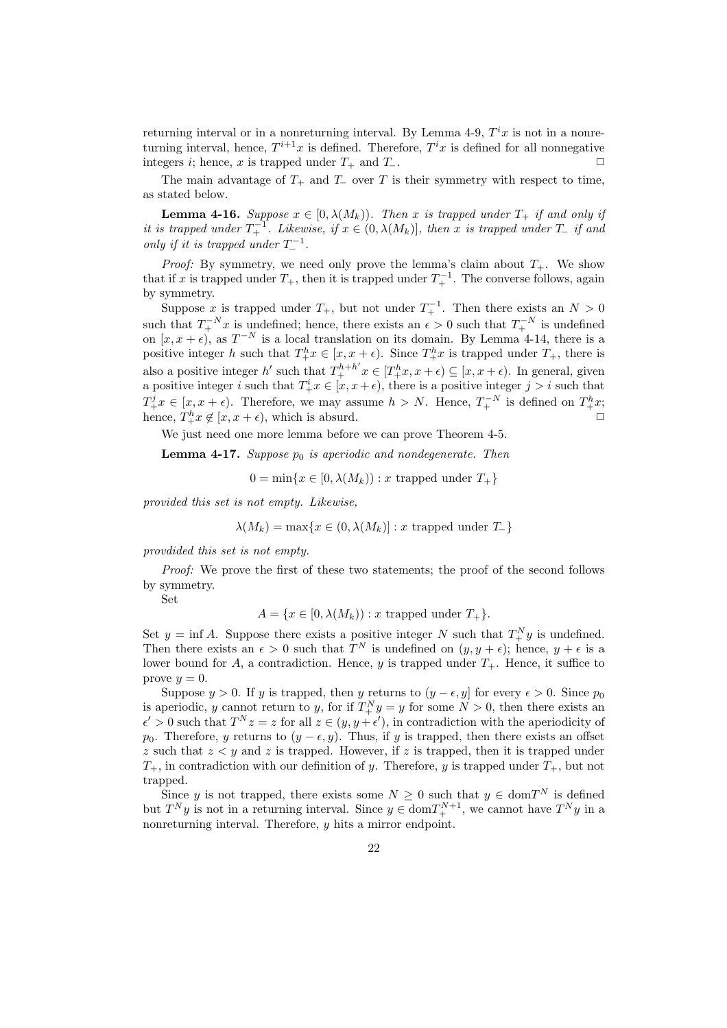returning interval or in a nonreturning interval. By Lemma 4-9,  $T^i x$  is not in a nonreturning interval, hence,  $T^{i+1}x$  is defined. Therefore,  $T^ix$  is defined for all nonnegative integers *i*; hence, x is trapped under  $T_+$  and  $T_-$ .

The main advantage of  $T_+$  and  $T_-\,$  over  $T$  is their symmetry with respect to time, as stated below.

**Lemma 4-16.** Suppose  $x \in [0, \lambda(M_k))$ . Then x is trapped under  $T_+$  if and only if it is trapped under  $T_+^{-1}$ . Likewise, if  $x \in (0, \lambda(M_k)]$ , then x is trapped under  $T_+$  if and only if it is trapped under  $T^{-1}_-$ .

*Proof:* By symmetry, we need only prove the lemma's claim about  $T_{+}$ . We show that if x is trapped under  $T_+$ , then it is trapped under  $T_+^{-1}$ . The converse follows, again by symmetry.

Suppose x is trapped under  $T_+$ , but not under  $T_+^{-1}$ . Then there exists an  $N > 0$ such that  $T_{+}^{-N}x$  is undefined; hence, there exists an  $\epsilon > 0$  such that  $T_{+}^{-N}$  is undefined on  $[x, x + \epsilon)$ , as  $T^{-N}$  is a local translation on its domain. By Lemma 4-14, there is a positive integer h such that  $T_+^h x \in [x, x + \epsilon)$ . Since  $T_+^h x$  is trapped under  $T_+$ , there is also a positive integer h' such that  $T^{h+h'}_+x \in [T^h_+x, x+\epsilon) \subseteq [x, x+\epsilon)$ . In general, given a positive integer i such that  $T^i_{+}x \in [x, x + \epsilon)$ , there is a positive integer  $j > i$  such that  $T_+^j x \in [x, x + \epsilon)$ . Therefore, we may assume  $h > N$ . Hence,  $T_+^{-N}$  is defined on  $T_+^h x$ ; hence,  $T_+^h x \notin [x, x + \epsilon)$ , which is absurd.  $\Box$ 

We just need one more lemma before we can prove Theorem 4-5.

**Lemma 4-17.** Suppose  $p_0$  is aperiodic and nondegenerate. Then

 $0 = \min\{x \in [0, \lambda(M_k)) : x$  trapped under  $T_+\}$ 

provided this set is not empty. Likewise,

$$
\lambda(M_k) = \max\{x \in (0, \lambda(M_k)] : x \text{ trapped under } T\}
$$

provdided this set is not empty.

Proof: We prove the first of these two statements; the proof of the second follows by symmetry.

Set

$$
A = \{x \in [0, \lambda(M_k)) : x \text{ trapped under } T_+\}.
$$

Set  $y = \inf A$ . Suppose there exists a positive integer N such that  $T_{+}^{N}y$  is undefined. Then there exists an  $\epsilon > 0$  such that  $T^N$  is undefined on  $(y, y + \epsilon)$ ; hence,  $y + \epsilon$  is a lower bound for A, a contradiction. Hence, y is trapped under  $T_{+}$ . Hence, it suffice to prove  $y=0$ .

Suppose  $y > 0$ . If y is trapped, then y returns to  $(y - \epsilon, y]$  for every  $\epsilon > 0$ . Since  $p_0$ is aperiodic, y cannot return to y, for if  $T_{+}^{N}y = y$  for some  $N > 0$ , then there exists an  $\epsilon' > 0$  such that  $T^N z = z$  for all  $z \in (y, y + \epsilon')$ , in contradiction with the aperiodicity of  $p_0$ . Therefore, y returns to  $(y - \epsilon, y)$ . Thus, if y is trapped, then there exists an offset  $z$  such that  $z < y$  and  $z$  is trapped. However, if  $z$  is trapped, then it is trapped under  $T_+$ , in contradiction with our definition of y. Therefore, y is trapped under  $T_+$ , but not trapped.

Since y is not trapped, there exists some  $N \geq 0$  such that  $y \in \text{dom}T^N$  is defined but  $T^N y$  is not in a returning interval. Since  $y \in \text{dom} T_+^{N+1}$ , we cannot have  $T^N y$  in a nonreturning interval. Therefore, y hits a mirror endpoint.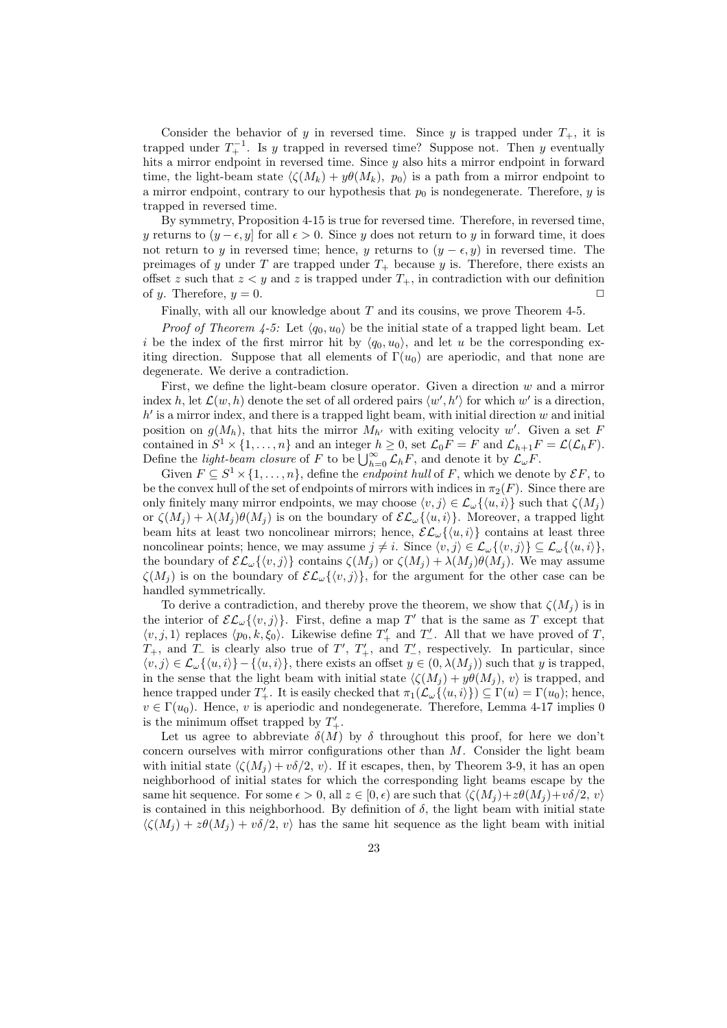Consider the behavior of y in reversed time. Since y is trapped under  $T_+$ , it is trapped under  $T_+^{-1}$ . Is y trapped in reversed time? Suppose not. Then y eventually hits a mirror endpoint in reversed time. Since y also hits a mirror endpoint in forward time, the light-beam state  $\langle \zeta(M_k) + y\theta(M_k), p_0 \rangle$  is a path from a mirror endpoint to a mirror endpoint, contrary to our hypothesis that  $p_0$  is nondegenerate. Therefore, y is trapped in reversed time.

By symmetry, Proposition 4-15 is true for reversed time. Therefore, in reversed time, y returns to  $(y - \epsilon, y]$  for all  $\epsilon > 0$ . Since y does not return to y in forward time, it does not return to y in reversed time; hence, y returns to  $(y - \epsilon, y)$  in reversed time. The preimages of y under T are trapped under  $T_{+}$  because y is. Therefore, there exists an offset z such that  $z < y$  and z is trapped under  $T_+$ , in contradiction with our definition of y. Therefore,  $y = 0$ .

Finally, with all our knowledge about T and its cousins, we prove Theorem 4-5.

*Proof of Theorem 4-5:* Let  $\langle q_0, u_0 \rangle$  be the initial state of a trapped light beam. Let i be the index of the first mirror hit by  $\langle q_0, u_0 \rangle$ , and let u be the corresponding exiting direction. Suppose that all elements of  $\Gamma(u_0)$  are aperiodic, and that none are degenerate. We derive a contradiction.

First, we define the light-beam closure operator. Given a direction  $w$  and a mirror index h, let  $\mathcal{L}(w, h)$  denote the set of all ordered pairs  $\langle w', h' \rangle$  for which w' is a direction,  $h'$  is a mirror index, and there is a trapped light beam, with initial direction  $w$  and initial position on  $g(M_h)$ , that hits the mirror  $M_{h'}$  with exiting velocity w'. Given a set F contained in  $S^1 \times \{1, ..., n\}$  and an integer  $h \geq 0$ , set  $\mathcal{L}_0 F = F$  and  $\mathcal{L}_{h+1} F = \mathcal{L}(\mathcal{L}_h F)$ . Contained in  $S \times \{1, ..., n\}$  and an integer  $n \geq 0$ , set  $\mathcal{L}_0 F = F$  and  $\mathcal{L}_{h+1}F$ .<br>Define the *light-beam closure* of F to be  $\bigcup_{h=0}^{\infty} \mathcal{L}_h F$ , and denote it by  $\mathcal{L}_{\omega}F$ .

Given  $F \subseteq S^1 \times \{1, \ldots, n\}$ , define the *endpoint hull* of F, which we denote by  $\mathcal{E}F$ , to be the convex hull of the set of endpoints of mirrors with indices in  $\pi_2(F)$ . Since there are only finitely many mirror endpoints, we may choose  $\langle v, j \rangle \in \mathcal{L}_{\omega}\{\langle u, i \rangle\}$  such that  $\zeta(M_i)$ or  $\zeta(M_i) + \lambda(M_i)\theta(M_i)$  is on the boundary of  $\mathcal{EL}_{\omega}\{\langle u, i \rangle\}$ . Moreover, a trapped light beam hits at least two noncolinear mirrors; hence,  $\mathcal{EL}_{\omega}\{\langle u, i \rangle\}$  contains at least three noncolinear points; hence, we may assume  $j \neq i$ . Since  $\langle v, j \rangle \in \mathcal{L}_{\omega} \{\langle v, j \rangle\} \subseteq \mathcal{L}_{\omega} \{\langle u, i \rangle\},\$ the boundary of  $\mathcal{EL}_{\omega}\{\langle v, j \rangle\}$  contains  $\zeta(M_j)$  or  $\zeta(M_j) + \lambda(M_j)\theta(M_j)$ . We may assume  $\zeta(M_i)$  is on the boundary of  $\mathcal{EL}_{\omega}\{\langle v, j \rangle\}$ , for the argument for the other case can be handled symmetrically.

To derive a contradiction, and thereby prove the theorem, we show that  $\zeta(M_i)$  is in the interior of  $\mathcal{EL}_{\omega}\{\langle v,j\rangle\}$ . First, define a map T' that is the same as T except that  $\langle v, j, 1 \rangle$  replaces  $\langle p_0, k, \xi_0 \rangle$ . Likewise define  $T'_+$  and  $T'_-$ . All that we have proved of T,  $T_+$ , and  $T_-\$  is clearly also true of  $T'$ ,  $T'_+$ , and  $T'_-$ , respectively. In particular, since  $\langle v, j \rangle \in \mathcal{L}_{\omega} \{\langle u, i \rangle\} - \{\langle u, i \rangle\},\$  there exists an offset  $y \in (0, \lambda(M_i))$  such that y is trapped, in the sense that the light beam with initial state  $\langle \zeta(M_j) + y\theta(M_j), v \rangle$  is trapped, and hence trapped under  $T'_{+}$ . It is easily checked that  $\pi_1(\mathcal{L}_{\omega}\{\langle u, i \rangle\}) \subseteq \Gamma(u) = \Gamma(u_0)$ ; hence,  $v \in \Gamma(u_0)$ . Hence, v is aperiodic and nondegenerate. Therefore, Lemma 4-17 implies 0 is the minimum offset trapped by  $T'_{+}$ .

Let us agree to abbreviate  $\delta(M)$  by  $\delta$  throughout this proof, for here we don't concern ourselves with mirror configurations other than M. Consider the light beam with initial state  $\langle \zeta(M_i) + v\delta/2, v \rangle$ . If it escapes, then, by Theorem 3-9, it has an open neighborhood of initial states for which the corresponding light beams escape by the same hit sequence. For some  $\epsilon > 0$ , all  $z \in [0, \epsilon)$  are such that  $\langle \zeta(M_i) + z\theta(M_i) + v\delta/2, v \rangle$ is contained in this neighborhood. By definition of  $\delta$ , the light beam with initial state  $\langle \zeta(M_i) + z\theta(M_i) + v\delta/2, v \rangle$  has the same hit sequence as the light beam with initial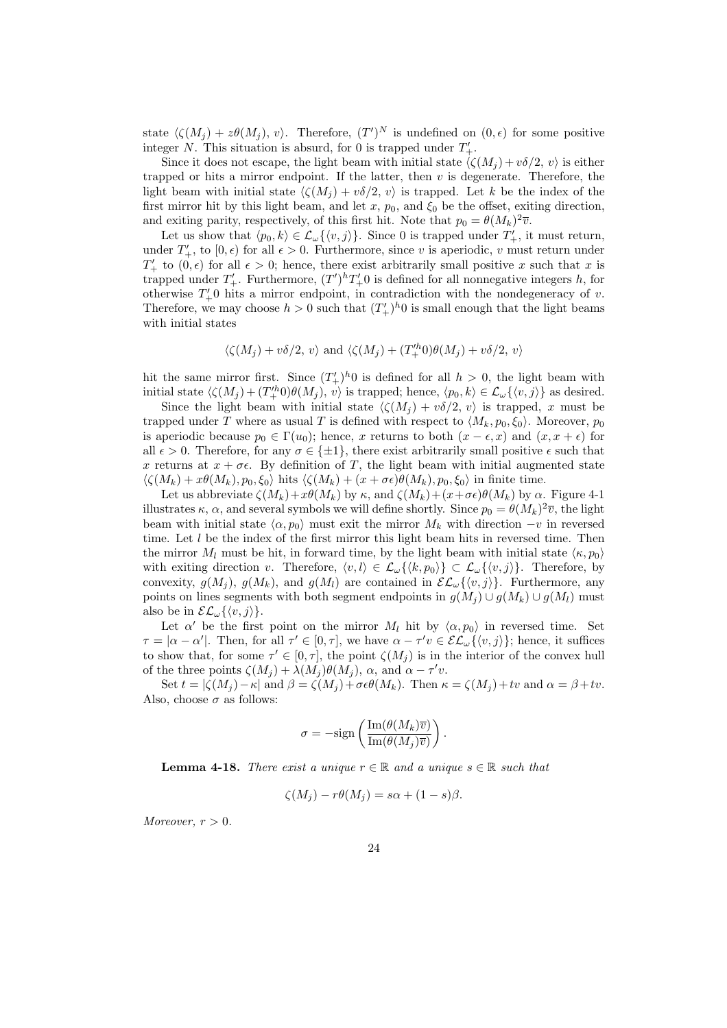state  $\langle \zeta(M_j) + z\theta(M_j), v \rangle$ . Therefore,  $(T')^N$  is undefined on  $(0, \epsilon)$  for some positive integer N. This situation is absurd, for 0 is trapped under  $T'_{+}$ .

Since it does not escape, the light beam with initial state  $\langle \zeta(M_j) +v\delta/2, v\rangle$  is either trapped or hits a mirror endpoint. If the latter, then  $v$  is degenerate. Therefore, the light beam with initial state  $\langle \zeta(M_i) + v\delta/2, v \rangle$  is trapped. Let k be the index of the first mirror hit by this light beam, and let x,  $p_0$ , and  $\xi_0$  be the offset, exiting direction, and exiting parity, respectively, of this first hit. Note that  $p_0 = \theta(M_k)^2 \overline{v}$ .

Let us show that  $\langle p_0, k \rangle \in \mathcal{L}_{\omega} \{\langle v, j \rangle\}$ . Since 0 is trapped under  $T'_{+}$ , it must return, under  $T'_{+}$ , to  $[0, \epsilon)$  for all  $\epsilon > 0$ . Furthermore, since v is aperiodic, v must return under  $T'_{+}$  to  $(0, \epsilon)$  for all  $\epsilon > 0$ ; hence, there exist arbitrarily small positive x such that x is trapped under  $T'_{+}$ . Furthermore,  $(T')^{h}T'_{+}0$  is defined for all nonnegative integers h, for otherwise  $T'_{+}0$  hits a mirror endpoint, in contradiction with the nondegeneracy of v. Therefore, we may choose  $h > 0$  such that  $(T'_+)^h 0$  is small enough that the light beams with initial states

$$
\langle \zeta(M_j) + v \delta/2, v \rangle
$$
 and  $\langle \zeta(M_j) + (T'^h_+ 0) \theta(M_j) + v \delta/2, v \rangle$ 

hit the same mirror first. Since  $(T'_+)^h$ <sup>0</sup> is defined for all  $h > 0$ , the light beam with initial state  $\langle \zeta(M_j) + (T_+^{\prime h}0)\theta(M_j), v \rangle$  is trapped; hence,  $\langle p_0, k \rangle \in \mathcal{L}_{\omega} \{\langle v, j \rangle\}$  as desired.

Since the light beam with initial state  $\langle \zeta(M_i) + v\delta/2, v \rangle$  is trapped, x must be trapped under T where as usual T is defined with respect to  $\langle M_k, p_0, \xi_0 \rangle$ . Moreover,  $p_0$ is aperiodic because  $p_0 \in \Gamma(u_0)$ ; hence, x returns to both  $(x - \epsilon, x)$  and  $(x, x + \epsilon)$  for all  $\epsilon > 0$ . Therefore, for any  $\sigma \in \{\pm 1\}$ , there exist arbitrarily small positive  $\epsilon$  such that x returns at  $x + \sigma \epsilon$ . By definition of T, the light beam with initial augmented state  $\langle \zeta(M_k) + x\theta(M_k), p_0, \xi_0 \rangle$  hits  $\langle \zeta(M_k) + (x + \sigma \epsilon)\theta(M_k), p_0, \xi_0 \rangle$  in finite time.

Let us abbreviate  $\zeta(M_k)+x\theta(M_k)$  by  $\kappa$ , and  $\zeta(M_k)+(x+\sigma\epsilon)\theta(M_k)$  by  $\alpha$ . Figure 4-1 illustrates  $\kappa$ ,  $\alpha$ , and several symbols we will define shortly. Since  $p_0 = \theta(M_k)^2 \overline{v}$ , the light beam with initial state  $\langle \alpha, p_0 \rangle$  must exit the mirror  $M_k$  with direction  $-v$  in reversed time. Let  $l$  be the index of the first mirror this light beam hits in reversed time. Then the mirror  $M_l$  must be hit, in forward time, by the light beam with initial state  $\langle \kappa, p_0 \rangle$ with exiting direction v. Therefore,  $\langle v, l \rangle \in \mathcal{L}_{\omega}\{\langle k, p_0 \rangle\} \subset \mathcal{L}_{\omega}\{\langle v, j \rangle\}$ . Therefore, by convexity,  $g(M_i)$ ,  $g(M_k)$ , and  $g(M_l)$  are contained in  $\mathcal{EL}_{\omega}\{\langle v, j \rangle\}$ . Furthermore, any points on lines segments with both segment endpoints in  $q(M_i) \cup q(M_k) \cup q(M_l)$  must also be in  $\mathcal{EL}_{\omega}\{\langle v, j \rangle\}.$ 

Let  $\alpha'$  be the first point on the mirror  $M_l$  hit by  $\langle \alpha, p_0 \rangle$  in reversed time. Set  $\tau = |\alpha - \alpha'|$ . Then, for all  $\tau' \in [0, \tau]$ , we have  $\alpha - \tau' v \in \mathcal{EL}_{\omega} \{\langle v, j \rangle\}$ ; hence, it suffices to show that, for some  $\tau' \in [0, \tau]$ , the point  $\zeta(M_j)$  is in the interior of the convex hull of the three points  $\zeta(M_j) + \lambda(M_j)\theta(M_j)$ ,  $\alpha$ , and  $\alpha - \tau'v$ .

Set  $t = |\zeta(M_i) - \kappa|$  and  $\beta = \zeta(M_i) + \sigma \epsilon \theta(M_k)$ . Then  $\kappa = \zeta(M_i) + tv$  and  $\alpha = \beta + tv$ . Also, choose  $\sigma$  as follows:

$$
\sigma = -\text{sign}\left(\frac{\text{Im}(\theta(M_k)\overline{v})}{\text{Im}(\theta(M_j)\overline{v})}\right).
$$

**Lemma 4-18.** There exist a unique  $r \in \mathbb{R}$  and a unique  $s \in \mathbb{R}$  such that

$$
\zeta(M_j) - r\theta(M_j) = s\alpha + (1 - s)\beta.
$$

Moreover,  $r > 0$ .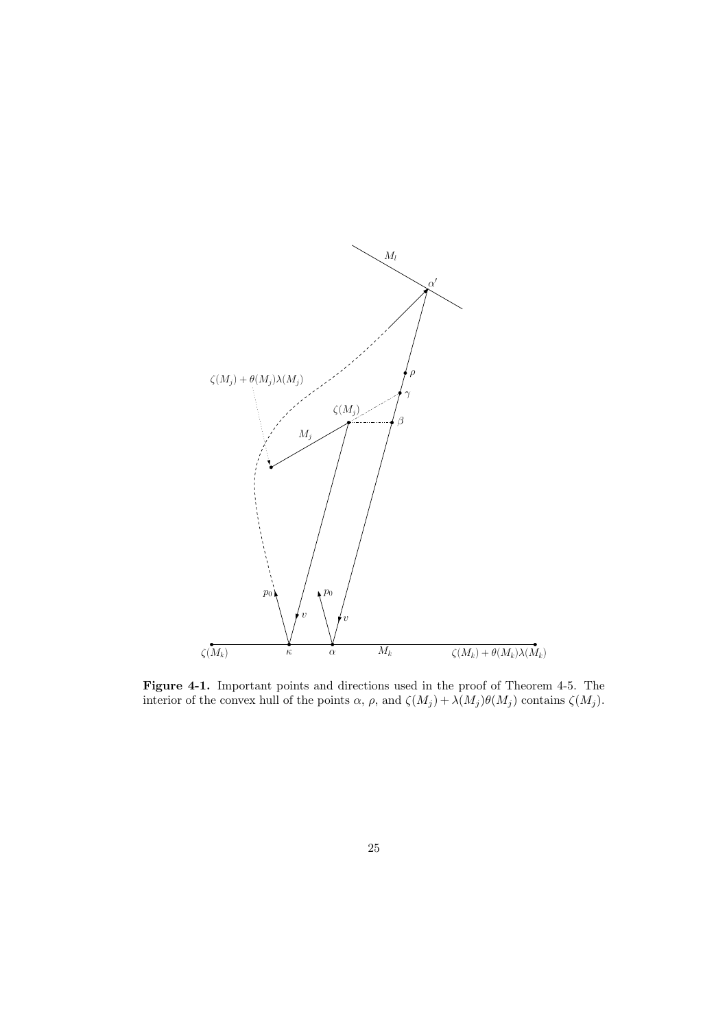

Figure 4-1. Important points and directions used in the proof of Theorem 4-5. The interior of the convex hull of the points  $\alpha$ ,  $\rho$ , and  $\zeta(M_j) + \lambda(M_j)\theta(M_j)$  contains  $\zeta(M_j)$ .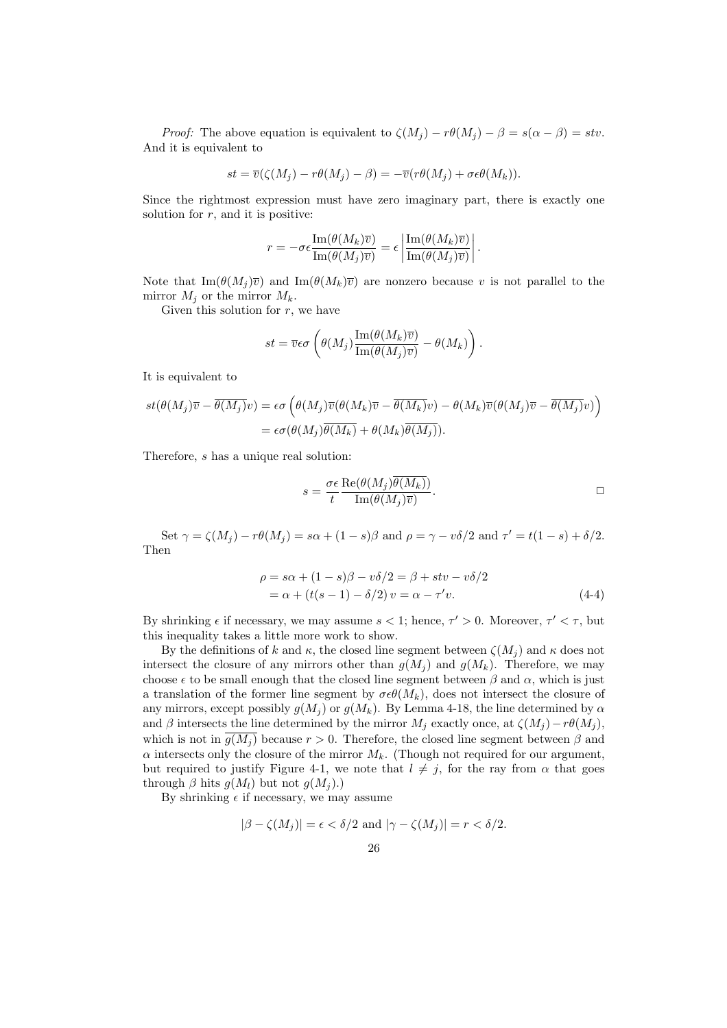*Proof:* The above equation is equivalent to  $\zeta(M_j) - r\theta(M_j) - \beta = s(\alpha - \beta) = stv$ . And it is equivalent to

$$
st = \overline{v}(\zeta(M_j) - r\theta(M_j) - \beta) = -\overline{v}(r\theta(M_j) + \sigma \epsilon \theta(M_k)).
$$

Since the rightmost expression must have zero imaginary part, there is exactly one solution for  $r$ , and it is positive:

$$
r = -\sigma \epsilon \frac{\mathrm{Im}(\theta(M_k)\overline{v})}{\mathrm{Im}(\theta(M_j)\overline{v})} = \epsilon \left| \frac{\mathrm{Im}(\theta(M_k)\overline{v})}{\mathrm{Im}(\theta(M_j)\overline{v})} \right|.
$$

Note that  $\text{Im}(\theta(M_i)\overline{v})$  and  $\text{Im}(\theta(M_k)\overline{v})$  are nonzero because v is not parallel to the mirror  $M_j$  or the mirror  $M_k$ .

Given this solution for  $r$ , we have

$$
st = \overline{v}\epsilon\sigma \left( \theta(M_j) \frac{\operatorname{Im}(\theta(M_k)\overline{v})}{\operatorname{Im}(\theta(M_j)\overline{v})} - \theta(M_k) \right).
$$

It is equivalent to

$$
st(\theta(M_j)\overline{v} - \overline{\theta(M_j)v}) = \epsilon \sigma \left( \theta(M_j)\overline{v}(\theta(M_k)\overline{v} - \overline{\theta(M_k)v}) - \theta(M_k)\overline{v}(\theta(M_j)\overline{v} - \overline{\theta(M_j)v}) \right)
$$
  
=  $\epsilon \sigma(\theta(M_j)\overline{\theta(M_k)} + \theta(M_k)\overline{\theta(M_j)}).$ 

Therefore, s has a unique real solution:

$$
s = \frac{\sigma \epsilon}{t} \frac{\text{Re}(\theta(M_j)\theta(M_k))}{\text{Im}(\theta(M_j)\overline{v})}.
$$

Set  $\gamma = \zeta(M_j) - r\theta(M_j) = s\alpha + (1 - s)\beta$  and  $\rho = \gamma - v\delta/2$  and  $\tau' = t(1 - s) + \delta/2$ . Then

$$
\rho = s\alpha + (1 - s)\beta - v\delta/2 = \beta + stv - v\delta/2
$$
  
=  $\alpha + (t(s - 1) - \delta/2)v = \alpha - \tau'v.$  (4-4)

By shrinking  $\epsilon$  if necessary, we may assume  $s < 1$ ; hence,  $\tau' > 0$ . Moreover,  $\tau' < \tau$ , but this inequality takes a little more work to show.

By the definitions of k and  $\kappa$ , the closed line segment between  $\zeta(M_i)$  and  $\kappa$  does not intersect the closure of any mirrors other than  $g(M_j)$  and  $g(M_k)$ . Therefore, we may choose  $\epsilon$  to be small enough that the closed line segment between  $\beta$  and  $\alpha$ , which is just a translation of the former line segment by  $\sigma \epsilon \theta(M_k)$ , does not intersect the closure of any mirrors, except possibly  $g(M_i)$  or  $g(M_k)$ . By Lemma 4-18, the line determined by  $\alpha$ and β intersects the line determined by the mirror  $M_j$  exactly once, at  $\zeta(M_j) - r\theta(M_j)$ , which is not in  $g(M_i)$  because  $r > 0$ . Therefore, the closed line segment between  $\beta$  and  $\alpha$  intersects only the closure of the mirror  $M_k$ . (Though not required for our argument, but required to justify Figure 4-1, we note that  $l \neq j$ , for the ray from  $\alpha$  that goes through  $\beta$  hits  $g(M_l)$  but not  $g(M_i)$ .)

By shrinking  $\epsilon$  if necessary, we may assume

$$
|\beta - \zeta(M_j)| = \epsilon < \delta/2 \text{ and } |\gamma - \zeta(M_j)| = r < \delta/2.
$$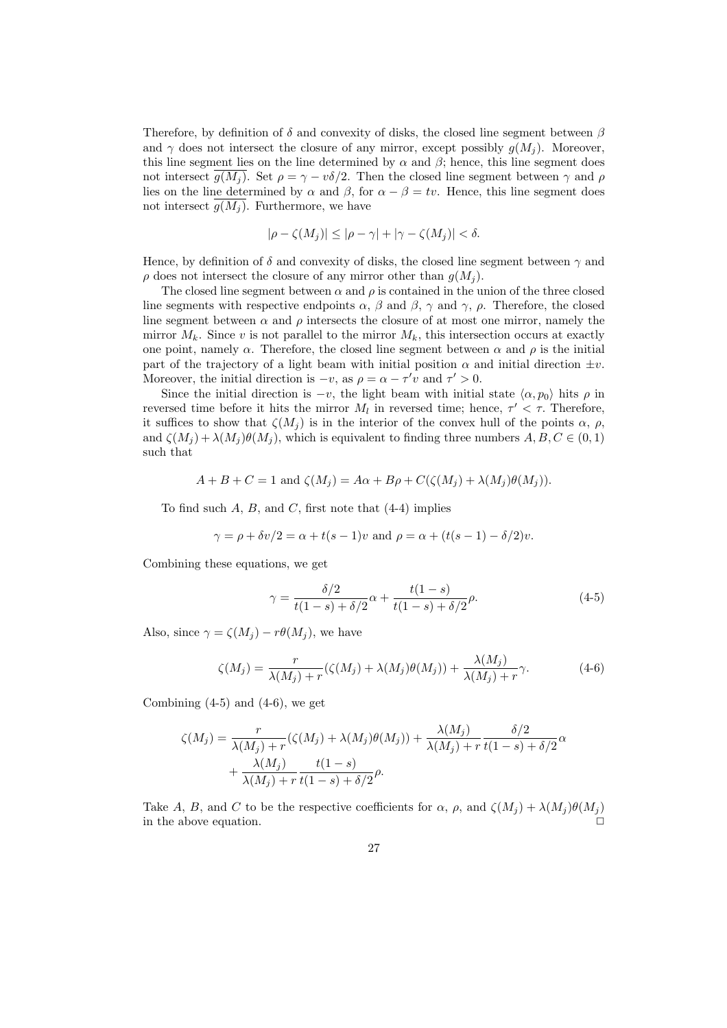Therefore, by definition of  $\delta$  and convexity of disks, the closed line segment between  $\beta$ and  $\gamma$  does not intersect the closure of any mirror, except possibly  $g(M_i)$ . Moreover, this line segment lies on the line determined by  $\alpha$  and  $\beta$ ; hence, this line segment does not intersect  $\overline{g(M_i)}$ . Set  $\rho = \gamma - v\delta/2$ . Then the closed line segment between  $\gamma$  and  $\rho$ lies on the line determined by  $\alpha$  and  $\beta$ , for  $\alpha - \beta = tv$ . Hence, this line segment does not intersect  $\overline{g(M_i)}$ . Furthermore, we have

$$
|\rho - \zeta(M_j)| \le |\rho - \gamma| + |\gamma - \zeta(M_j)| < \delta.
$$

Hence, by definition of  $\delta$  and convexity of disks, the closed line segment between  $\gamma$  and  $\rho$  does not intersect the closure of any mirror other than  $g(M_i)$ .

The closed line segment between  $\alpha$  and  $\rho$  is contained in the union of the three closed line segments with respective endpoints  $\alpha$ ,  $\beta$  and  $\beta$ ,  $\gamma$  and  $\gamma$ ,  $\rho$ . Therefore, the closed line segment between  $\alpha$  and  $\rho$  intersects the closure of at most one mirror, namely the mirror  $M_k$ . Since v is not parallel to the mirror  $M_k$ , this intersection occurs at exactly one point, namely  $\alpha$ . Therefore, the closed line segment between  $\alpha$  and  $\rho$  is the initial part of the trajectory of a light beam with initial position  $\alpha$  and initial direction  $\pm v$ . Moreover, the initial direction is  $-v$ , as  $\rho = \alpha - \tau'v$  and  $\tau' > 0$ .

Since the initial direction is  $-v$ , the light beam with initial state  $\langle \alpha, p_0 \rangle$  hits  $\rho$  in reversed time before it hits the mirror  $M_l$  in reversed time; hence,  $\tau' < \tau$ . Therefore, it suffices to show that  $\zeta(M_i)$  is in the interior of the convex hull of the points  $\alpha$ ,  $\rho$ , and  $\zeta(M_i) + \lambda(M_i)\theta(M_i)$ , which is equivalent to finding three numbers  $A, B, C \in (0, 1)$ such that

$$
A + B + C = 1 \text{ and } \zeta(M_j) = A\alpha + B\rho + C(\zeta(M_j) + \lambda(M_j)\theta(M_j)).
$$

To find such  $A, B$ , and  $C$ , first note that  $(4-4)$  implies

$$
\gamma = \rho + \delta v/2 = \alpha + t(s-1)v
$$
 and  $\rho = \alpha + (t(s-1) - \delta/2)v$ .

Combining these equations, we get

$$
\gamma = \frac{\delta/2}{t(1-s) + \delta/2} \alpha + \frac{t(1-s)}{t(1-s) + \delta/2} \rho.
$$
 (4-5)

Also, since  $\gamma = \zeta(M_i) - r\theta(M_i)$ , we have

$$
\zeta(M_j) = \frac{r}{\lambda(M_j) + r} (\zeta(M_j) + \lambda(M_j)\theta(M_j)) + \frac{\lambda(M_j)}{\lambda(M_j) + r} \gamma.
$$
 (4-6)

Combining  $(4-5)$  and  $(4-6)$ , we get

$$
\zeta(M_j) = \frac{r}{\lambda(M_j) + r} (\zeta(M_j) + \lambda(M_j)\theta(M_j)) + \frac{\lambda(M_j)}{\lambda(M_j) + r} \frac{\delta/2}{t(1-s) + \delta/2} \alpha + \frac{\lambda(M_j)}{\lambda(M_j) + r} \frac{t(1-s)}{t(1-s) + \delta/2} \rho.
$$

Take A, B, and C to be the respective coefficients for  $\alpha$ ,  $\rho$ , and  $\zeta(M_i) + \lambda(M_i)\theta(M_i)$ in the above equation.  $\Box$